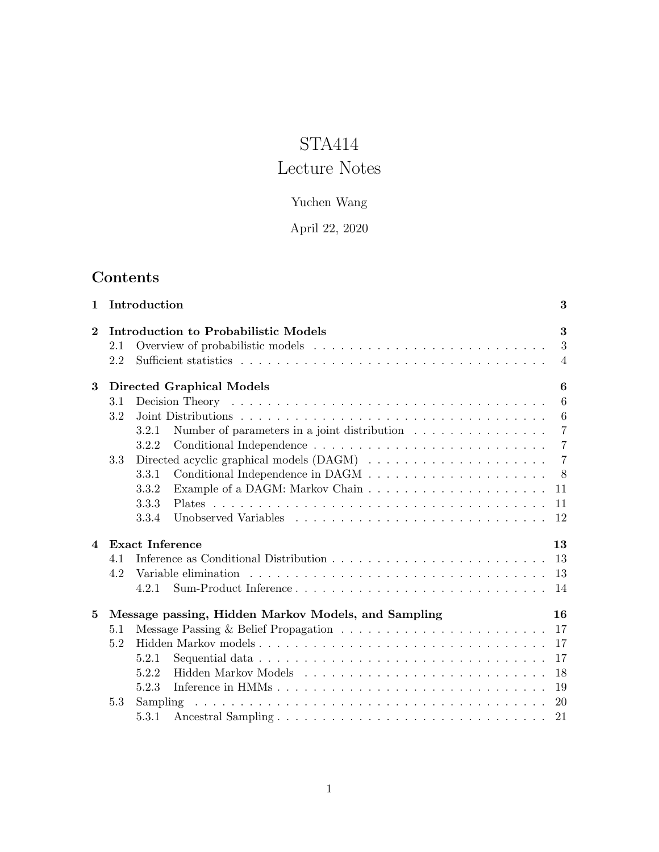# STA414

# Lecture Notes

# Yuchen Wang

# April 22, 2020

# Contents

| $\mathbf{1}$   |     | Introduction                                                                                      | 3              |
|----------------|-----|---------------------------------------------------------------------------------------------------|----------------|
| $\bf{2}$       |     | <b>Introduction to Probabilistic Models</b>                                                       | 3              |
|                | 2.1 | Overview of probabilistic models $\ldots \ldots \ldots \ldots \ldots \ldots \ldots \ldots \ldots$ | 3              |
|                | 2.2 |                                                                                                   | $\overline{4}$ |
| 3              |     | Directed Graphical Models                                                                         | 6              |
|                | 3.1 |                                                                                                   | 6              |
|                | 3.2 |                                                                                                   | 6              |
|                |     | Number of parameters in a joint distribution $\ldots \ldots \ldots \ldots$<br>3.2.1               | $\overline{7}$ |
|                |     | 3.2.2                                                                                             | $\overline{7}$ |
|                | 3.3 |                                                                                                   | $\overline{7}$ |
|                |     | Conditional Independence in DAGM $\ldots \ldots \ldots \ldots \ldots \ldots \ldots$<br>3.3.1      | 8              |
|                |     | 3.3.2                                                                                             | 11             |
|                |     | 3.3.3                                                                                             | 11             |
|                |     | 3.3.4                                                                                             | 12             |
| $\overline{4}$ |     | <b>Exact Inference</b>                                                                            | 13             |
|                | 4.1 |                                                                                                   | 13             |
|                | 4.2 |                                                                                                   | 13             |
|                |     | Sum-Product Inference<br>4.2.1                                                                    | 14             |
| $\bf{5}$       |     | Message passing, Hidden Markov Models, and Sampling                                               | 16             |
|                | 5.1 | Message Passing & Belief Propagation $\ldots \ldots \ldots \ldots \ldots \ldots \ldots \ldots$    | 17             |
|                | 5.2 |                                                                                                   | 17             |
|                |     | 5.2.1                                                                                             | 17             |
|                |     | 5.2.2                                                                                             | 18             |
|                |     | Inference in HMMs<br>5.2.3                                                                        | 19             |
|                |     |                                                                                                   |                |
|                | 5.3 | Sampling                                                                                          | 20             |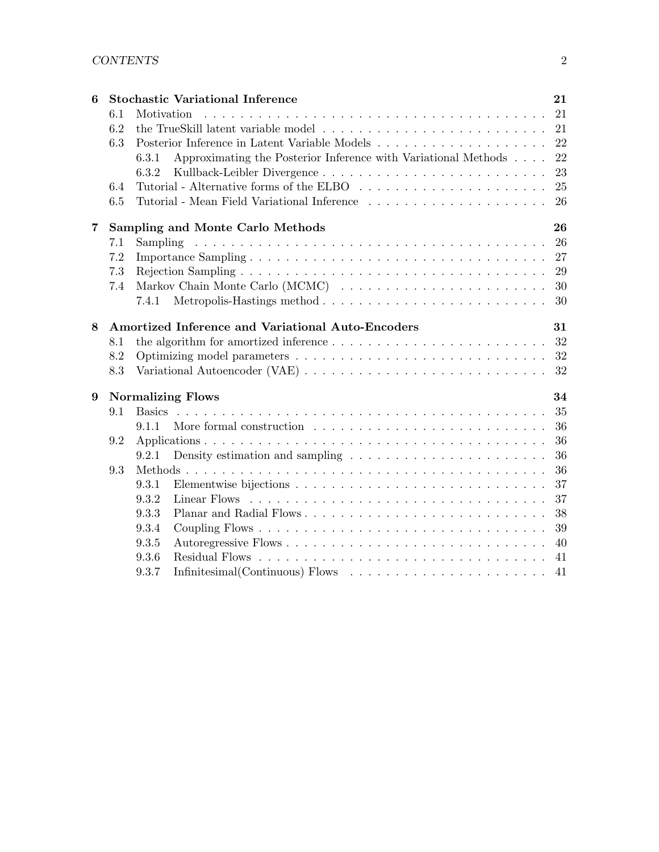| 6              |     | <b>Stochastic Variational Inference</b>                                                                 | 21 |
|----------------|-----|---------------------------------------------------------------------------------------------------------|----|
|                | 6.1 | Motivation                                                                                              |    |
|                | 6.2 | the TrueSkill latent variable model $\ldots \ldots \ldots \ldots \ldots \ldots \ldots \ldots \ldots 21$ |    |
|                | 6.3 |                                                                                                         |    |
|                |     | Approximating the Posterior Inference with Variational Methods 22<br>6.3.1                              |    |
|                |     | 6.3.2                                                                                                   | 23 |
|                | 6.4 |                                                                                                         |    |
|                | 6.5 |                                                                                                         | 26 |
| $\overline{7}$ |     | <b>Sampling and Monte Carlo Methods</b>                                                                 | 26 |
|                | 7.1 |                                                                                                         | 26 |
|                | 7.2 |                                                                                                         | 27 |
|                | 7.3 |                                                                                                         | 29 |
|                | 7.4 |                                                                                                         | 30 |
|                |     | 7.4.1                                                                                                   | 30 |
| 8              |     | Amortized Inference and Variational Auto-Encoders                                                       | 31 |
|                | 8.1 |                                                                                                         |    |
|                | 8.2 |                                                                                                         |    |
|                | 8.3 |                                                                                                         |    |
| 9              |     | <b>Normalizing Flows</b>                                                                                | 34 |
|                | 9.1 |                                                                                                         | 35 |
|                |     | 9.1.1                                                                                                   | 36 |
|                | 9.2 |                                                                                                         | 36 |
|                |     | Density estimation and sampling $\ldots \ldots \ldots \ldots \ldots \ldots \ldots$<br>9.2.1             | 36 |
|                | 9.3 |                                                                                                         | 36 |
|                |     | 9.3.1                                                                                                   | 37 |
|                |     | 9.3.2                                                                                                   | 37 |
|                |     |                                                                                                         |    |
|                |     | 9.3.3<br>Planar and Radial Flows                                                                        | 38 |
|                |     | 9.3.4                                                                                                   | 39 |
|                |     | 9.3.5                                                                                                   | 40 |
|                |     | 9.3.6                                                                                                   | 41 |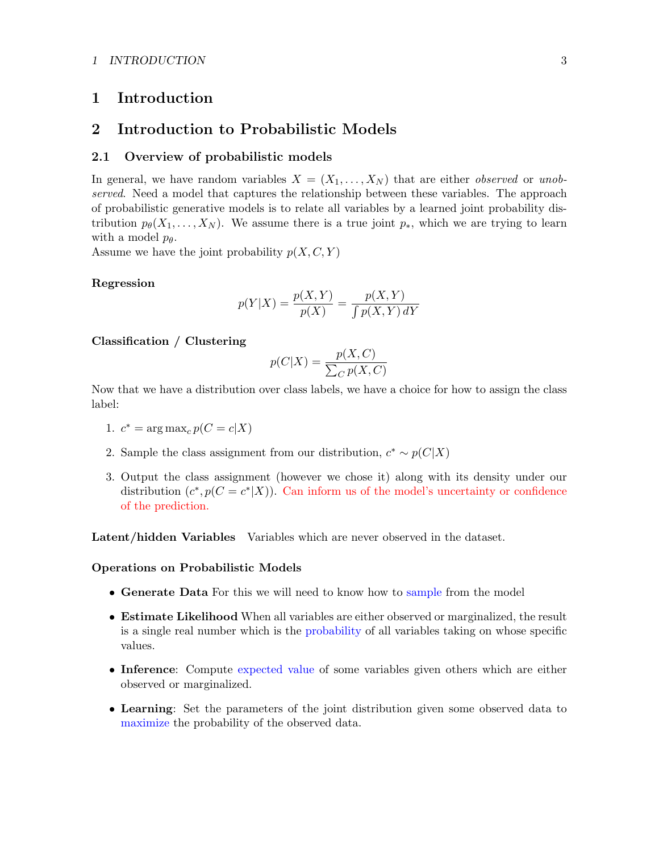### 1 INTRODUCTION 3

# <span id="page-2-0"></span>1 Introduction

# <span id="page-2-1"></span>2 Introduction to Probabilistic Models

# <span id="page-2-2"></span>2.1 Overview of probabilistic models

In general, we have random variables  $X = (X_1, \ldots, X_N)$  that are either *observed* or unobserved. Need a model that captures the relationship between these variables. The approach of probabilistic generative models is to relate all variables by a learned joint probability distribution  $p_{\theta}(X_1, \ldots, X_N)$ . We assume there is a true joint  $p_*,$  which we are trying to learn with a model  $p_{\theta}$ .

Assume we have the joint probability  $p(X, C, Y)$ 

# Regression

$$
p(Y|X) = \frac{p(X,Y)}{p(X)} = \frac{p(X,Y)}{\int p(X,Y) \, dY}
$$

### Classification / Clustering

$$
p(C|X) = \frac{p(X, C)}{\sum_{C} p(X, C)}
$$

Now that we have a distribution over class labels, we have a choice for how to assign the class label:

- 1.  $c^* = \arg \max_c p(C = c|X)$
- 2. Sample the class assignment from our distribution,  $c^* \sim p(C|X)$
- 3. Output the class assignment (however we chose it) along with its density under our distribution  $(c^*, p(C = c^*|X))$ . Can inform us of the model's uncertainty or confidence of the prediction.

Latent/hidden Variables Variables which are never observed in the dataset.

### Operations on Probabilistic Models

- Generate Data For this we will need to know how to sample from the model
- Estimate Likelihood When all variables are either observed or marginalized, the result is a single real number which is the probability of all variables taking on whose specific values.
- Inference: Compute expected value of some variables given others which are either observed or marginalized.
- Learning: Set the parameters of the joint distribution given some observed data to maximize the probability of the observed data.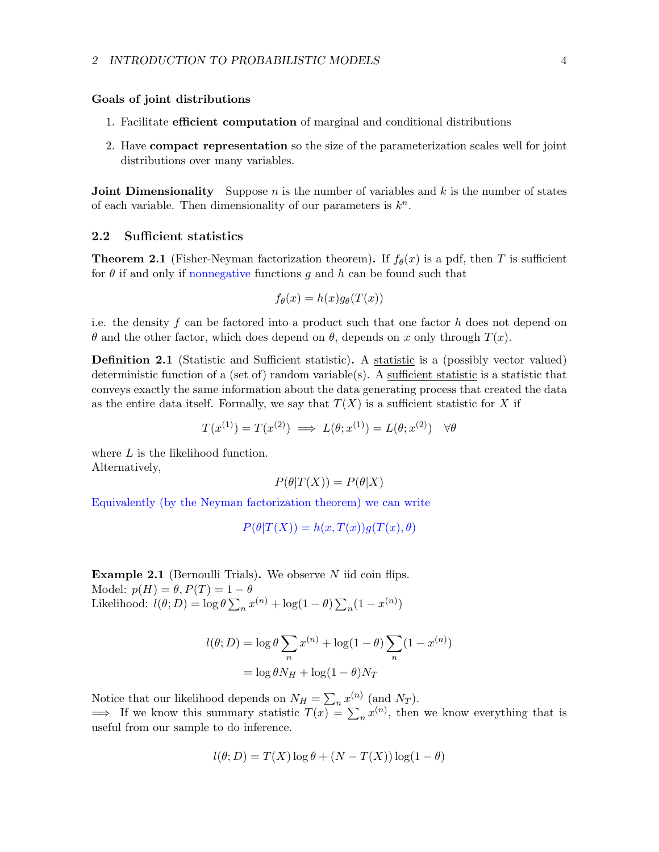#### Goals of joint distributions

- 1. Facilitate efficient computation of marginal and conditional distributions
- 2. Have compact representation so the size of the parameterization scales well for joint distributions over many variables.

**Joint Dimensionality** Suppose n is the number of variables and  $k$  is the number of states of each variable. Then dimensionality of our parameters is  $k<sup>n</sup>$ .

# <span id="page-3-0"></span>2.2 Sufficient statistics

**Theorem 2.1** (Fisher-Neyman factorization theorem). If  $f_{\theta}(x)$  is a pdf, then T is sufficient for  $\theta$  if and only if nonnegative functions q and h can be found such that

$$
f_{\theta}(x) = h(x)g_{\theta}(T(x))
$$

i.e. the density f can be factored into a product such that one factor h does not depend on θ and the other factor, which does depend on θ, depends on x only through  $T(x)$ .

Definition 2.1 (Statistic and Sufficient statistic). A statistic is a (possibly vector valued) deterministic function of a (set of) random variable(s). A sufficient statistic is a statistic that conveys exactly the same information about the data generating process that created the data as the entire data itself. Formally, we say that  $T(X)$  is a sufficient statistic for X if

$$
T(x^{(1)}) = T(x^{(2)}) \implies L(\theta; x^{(1)}) = L(\theta; x^{(2)}) \quad \forall \theta
$$

where L is the likelihood function. Alternatively,

$$
P(\theta|T(X))=P(\theta|X)
$$

Equivalently (by the Neyman factorization theorem) we can write

 $P(\theta|T(X)) = h(x,T(x))g(T(x),\theta)$ 

**Example 2.1** (Bernoulli Trials). We observe  $N$  iid coin flips. Model:  $p(H) = \theta$ ,  $P(T) = 1 - \theta$ Likelihood:  $l(\theta; D) = \log \theta \sum_{n} x^{(n)} + \log(1 - \theta) \sum_{n} (1 - x^{(n)})$ 

$$
l(\theta; D) = \log \theta \sum_{n} x^{(n)} + \log(1 - \theta) \sum_{n} (1 - x^{(n)})
$$

$$
= \log \theta N_H + \log(1 - \theta) N_T
$$

Notice that our likelihood depends on  $N_H = \sum_n x^{(n)}$  (and  $N_T$ ).  $\implies$  If we know this summary statistic  $T(x) = \sum_n x^{(n)}$ , then we know everything that is useful from our sample to do inference.

$$
l(\theta; D) = T(X) \log \theta + (N - T(X)) \log(1 - \theta)
$$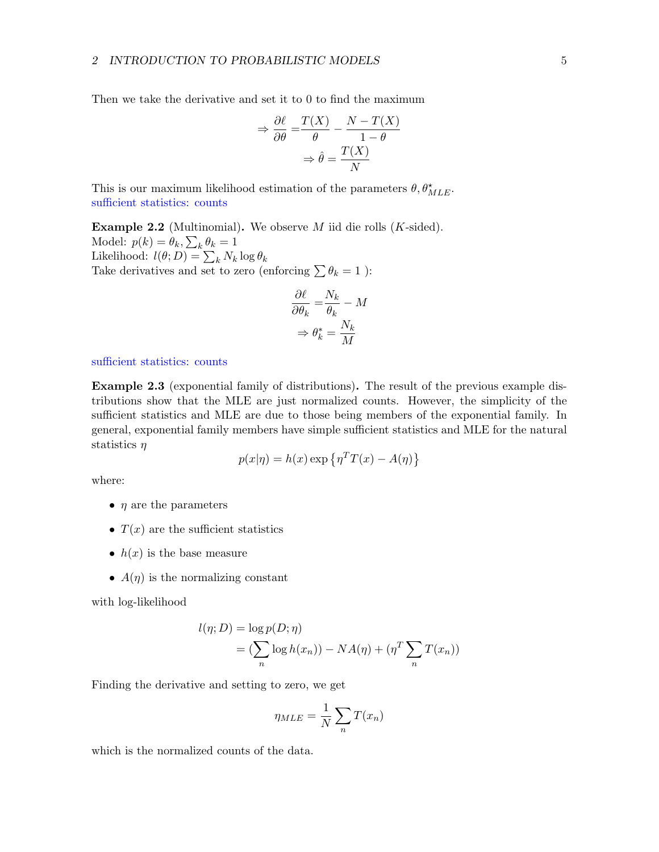Then we take the derivative and set it to 0 to find the maximum

$$
\Rightarrow \frac{\partial \ell}{\partial \theta} = \frac{T(X)}{\theta} - \frac{N - T(X)}{1 - \theta}
$$

$$
\Rightarrow \hat{\theta} = \frac{T(X)}{N}
$$

This is our maximum likelihood estimation of the parameters  $\theta, \theta_{MLE}^{\star}$ . sufficient statistics: counts

**Example 2.2** (Multinomial). We observe  $M$  iid die rolls  $(K\text{-sided})$ . Model:  $p(k) = \theta_k$ ,  $\sum_k \theta_k = 1$ Likelihood:  $l(\theta; D) = \sum_{k} N_k \log \theta_k$ Take derivatives and set to zero (enforcing  $\sum \theta_k = 1$ ):

$$
\frac{\partial \ell}{\partial \theta_k} = \frac{N_k}{\theta_k} - M
$$

$$
\Rightarrow \theta_k^* = \frac{N_k}{M}
$$

### sufficient statistics: counts

Example 2.3 (exponential family of distributions). The result of the previous example distributions show that the MLE are just normalized counts. However, the simplicity of the sufficient statistics and MLE are due to those being members of the exponential family. In general, exponential family members have simple sufficient statistics and MLE for the natural statistics  $\eta$ 

$$
p(x|\eta) = h(x) \exp \{ \eta^T T(x) - A(\eta) \}
$$

where:

- $\eta$  are the parameters
- $T(x)$  are the sufficient statistics
- $h(x)$  is the base measure
- $A(\eta)$  is the normalizing constant

with log-likelihood

$$
l(\eta; D) = \log p(D; \eta)
$$
  
= 
$$
(\sum_{n} \log h(x_n)) - NA(\eta) + (\eta^T \sum_{n} T(x_n))
$$

Finding the derivative and setting to zero, we get

$$
\eta_{MLE} = \frac{1}{N} \sum_{n} T(x_n)
$$

which is the normalized counts of the data.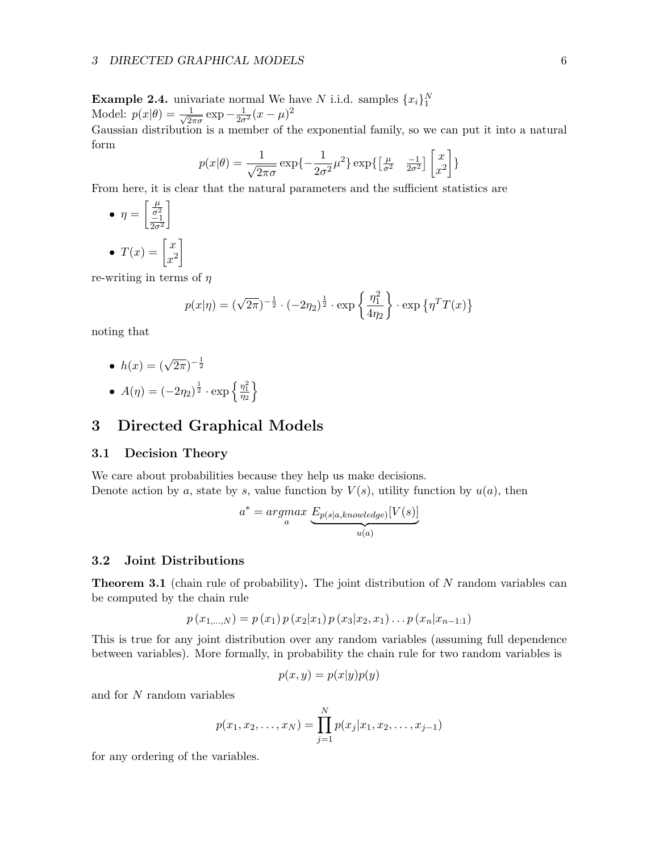### 3 DIRECTED GRAPHICAL MODELS 6

**Example 2.4.** univariate normal We have N i.i.d. samples  $\{x_i\}_1^N$ Model:  $p(x|\theta) = \frac{1}{\sqrt{2}}$  $\frac{1}{2\pi\sigma}$  exp  $-\frac{1}{2\sigma^2}(x-\mu)^2$ 

Gaussian distribution is a member of the exponential family, so we can put it into a natural form

$$
p(x|\theta) = \frac{1}{\sqrt{2\pi\sigma}} \exp\left\{-\frac{1}{2\sigma^2}\mu^2\right\} \exp\left\{\left[\frac{\mu}{\sigma^2} - \frac{-1}{2\sigma^2}\right] \begin{bmatrix} x \\ x^2 \end{bmatrix}\right\}
$$

From here, it is clear that the natural parameters and the sufficient statistics are

• 
$$
\eta = \begin{bmatrix} \frac{\mu}{\sigma^2} \\ \frac{-1}{2\sigma^2} \end{bmatrix}
$$
  
\n•  $T(x) = \begin{bmatrix} x \\ x^2 \end{bmatrix}$ 

re-writing in terms of  $\eta$ 

$$
p(x|\eta) = (\sqrt{2\pi})^{-\frac{1}{2}} \cdot (-2\eta_2)^{\frac{1}{2}} \cdot \exp\left\{\frac{\eta_1^2}{4\eta_2}\right\} \cdot \exp\left\{\eta^T T(x)\right\}
$$

noting that

•  $h(x) = (\sqrt{2\pi})^{-\frac{1}{2}}$ 

• 
$$
A(\eta) = (-2\eta_2)^{\frac{1}{2}} \cdot \exp\left\{\frac{\eta_1^2}{\eta_2}\right\}
$$

# <span id="page-5-0"></span>3 Directed Graphical Models

## <span id="page-5-1"></span>3.1 Decision Theory

We care about probabilities because they help us make decisions. Denote action by a, state by s, value function by  $V(s)$ , utility function by  $u(a)$ , then

$$
a^* = \underset{a}{\operatorname{argmax}} \underbrace{E_{p(s|a,knowledge)}[V(s)]}_{u(a)}
$$

### <span id="page-5-2"></span>3.2 Joint Distributions

**Theorem 3.1** (chain rule of probability). The joint distribution of  $N$  random variables can be computed by the chain rule

$$
p(x_{1,...,N}) = p(x_1) p(x_2|x_1) p(x_3|x_2,x_1)...p(x_n|x_{n-1:1})
$$

This is true for any joint distribution over any random variables (assuming full dependence between variables). More formally, in probability the chain rule for two random variables is

$$
p(x, y) = p(x|y)p(y)
$$

and for N random variables

$$
p(x_1, x_2, \dots, x_N) = \prod_{j=1}^N p(x_j | x_1, x_2, \dots, x_{j-1})
$$

for any ordering of the variables.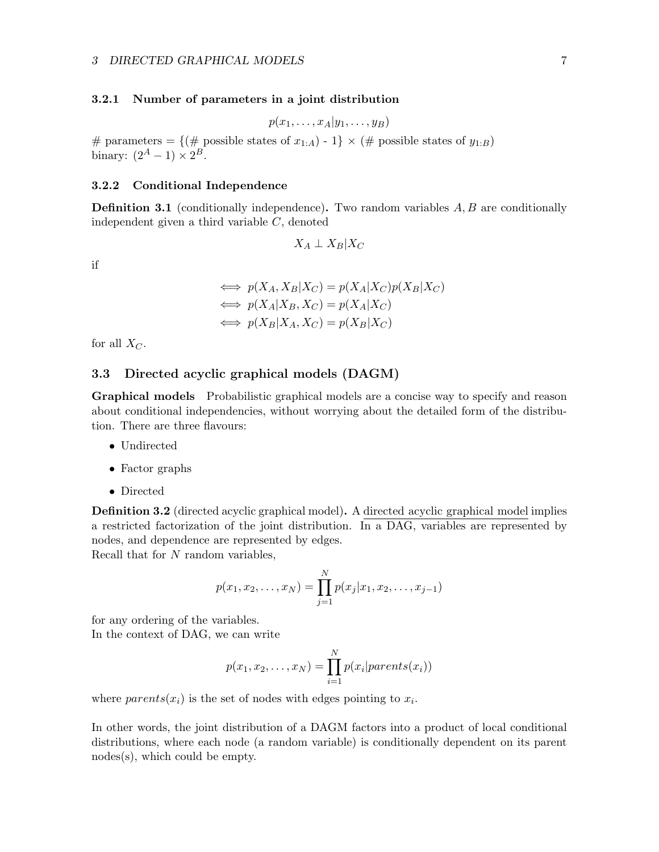### <span id="page-6-0"></span>3.2.1 Number of parameters in a joint distribution

$$
p(x_1,\ldots,x_A|y_1,\ldots,y_B)
$$

# parameters = { $(\#$  possible states of  $x_{1:A}$ ) - 1}  $\times$  (# possible states of  $y_{1:B}$ ) binary:  $(2^A - 1) \times 2^B$ .

### <span id="page-6-1"></span>3.2.2 Conditional Independence

**Definition 3.1** (conditionally independence). Two random variables  $A, B$  are conditionally independent given a third variable C, denoted

$$
X_A \perp X_B | X_C
$$

if

$$
\iff p(X_A, X_B | X_C) = p(X_A | X_C) p(X_B | X_C)
$$
  
\n
$$
\iff p(X_A | X_B, X_C) = p(X_A | X_C)
$$
  
\n
$$
\iff p(X_B | X_A, X_C) = p(X_B | X_C)
$$

for all  $X_C$ .

## <span id="page-6-2"></span>3.3 Directed acyclic graphical models (DAGM)

Graphical models Probabilistic graphical models are a concise way to specify and reason about conditional independencies, without worrying about the detailed form of the distribution. There are three flavours:

- Undirected
- Factor graphs
- Directed

Definition 3.2 (directed acyclic graphical model). A directed acyclic graphical model implies a restricted factorization of the joint distribution. In a DAG, variables are represented by nodes, and dependence are represented by edges.

Recall that for N random variables,

$$
p(x_1, x_2, \dots, x_N) = \prod_{j=1}^N p(x_j | x_1, x_2, \dots, x_{j-1})
$$

for any ordering of the variables. In the context of DAG, we can write

$$
p(x_1, x_2, \dots, x_N) = \prod_{i=1}^{N} p(x_i | parents(x_i))
$$

where  $parents(x_i)$  is the set of nodes with edges pointing to  $x_i$ .

In other words, the joint distribution of a DAGM factors into a product of local conditional distributions, where each node (a random variable) is conditionally dependent on its parent nodes(s), which could be empty.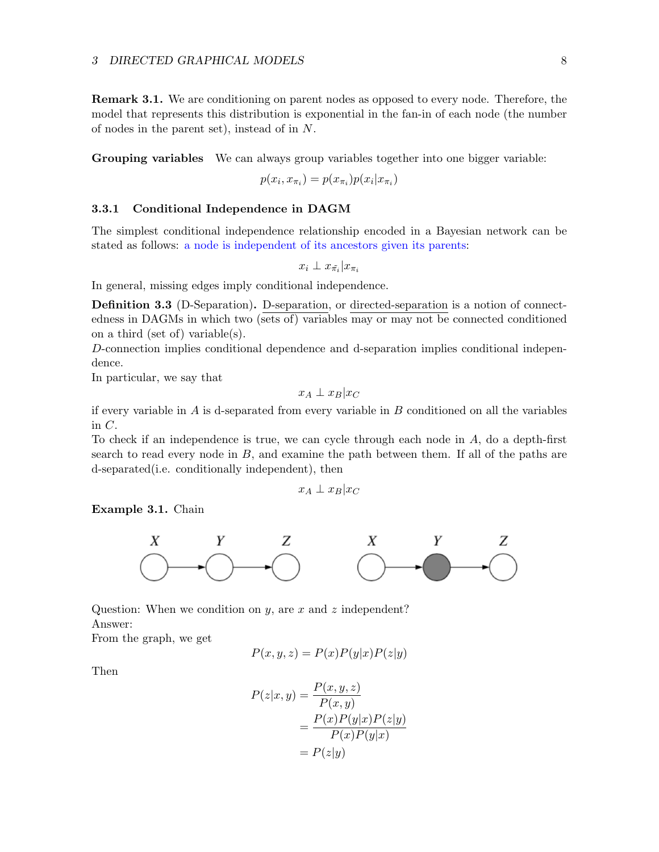Remark 3.1. We are conditioning on parent nodes as opposed to every node. Therefore, the model that represents this distribution is exponential in the fan-in of each node (the number of nodes in the parent set), instead of in N.

Grouping variables We can always group variables together into one bigger variable:

$$
p(x_i, x_{\pi_i}) = p(x_{\pi_i})p(x_i|x_{\pi_i})
$$

### <span id="page-7-0"></span>3.3.1 Conditional Independence in DAGM

The simplest conditional independence relationship encoded in a Bayesian network can be stated as follows: a node is independent of its ancestors given its parents:

$$
x_i \perp x_{\tilde{\pi_i}} | x_{\pi_i}
$$

In general, missing edges imply conditional independence.

Definition 3.3 (D-Separation). D-separation, or directed-separation is a notion of connectedness in DAGMs in which two (sets of) variables may or may not be connected conditioned on a third (set of) variable(s).

D-connection implies conditional dependence and d-separation implies conditional independence.

In particular, we say that

$$
x_A \perp x_B | x_C
$$

if every variable in  $A$  is d-separated from every variable in  $B$  conditioned on all the variables in  $C$ .

To check if an independence is true, we can cycle through each node in A, do a depth-first search to read every node in  $B$ , and examine the path between them. If all of the paths are d-separated(i.e. conditionally independent), then

$$
x_A \perp x_B | x_C
$$

Example 3.1. Chain



Question: When we condition on  $y$ , are  $x$  and  $z$  independent? Answer:

From the graph, we get

$$
P(x, y, z) = P(x)P(y|x)P(z|y)
$$

Then

$$
P(z|x, y) = \frac{P(x, y, z)}{P(x, y)}
$$
  
= 
$$
\frac{P(x)P(y|x)P(z|y)}{P(x)P(y|x)}
$$
  
= 
$$
P(z|y)
$$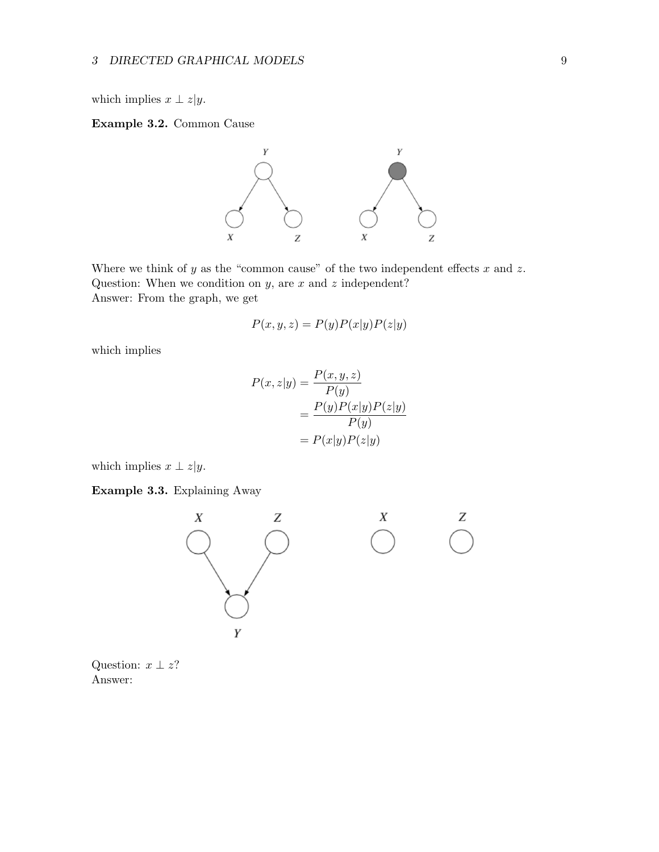which implies  $x \perp z|y$ .

# Example 3.2. Common Cause



Where we think of  $y$  as the "common cause" of the two independent effects  $x$  and  $z$ . Question: When we condition on  $y$ , are  $x$  and  $z$  independent? Answer: From the graph, we get

$$
P(x, y, z) = P(y)P(x|y)P(z|y)
$$

which implies

$$
P(x, z|y) = \frac{P(x, y, z)}{P(y)}
$$
  
= 
$$
\frac{P(y)P(x|y)P(z|y)}{P(y)}
$$
  
= 
$$
P(x|y)P(z|y)
$$

which implies  $x \perp z|y$ .

Example 3.3. Explaining Away



Question:  $x \perp z$ ? Answer: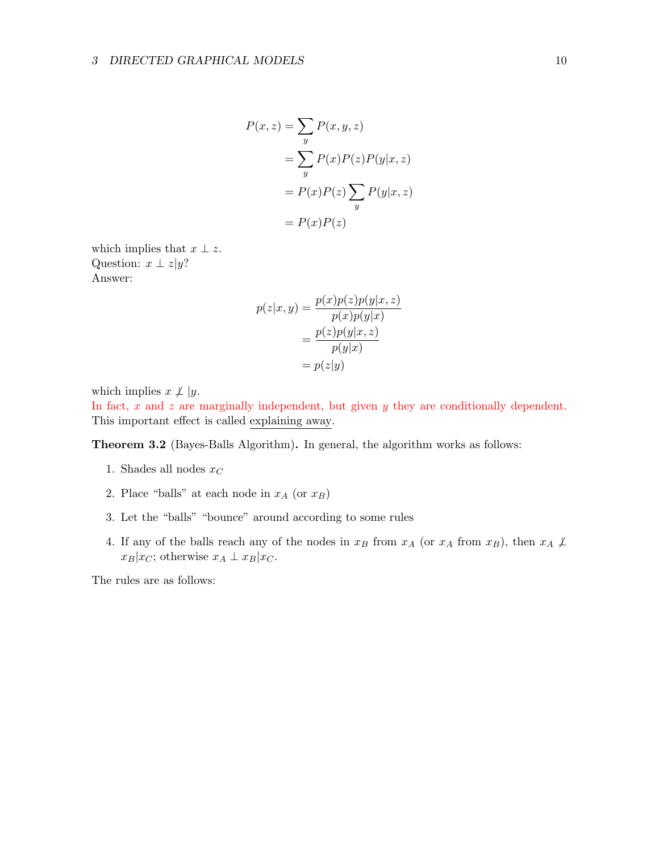$$
P(x, z) = \sum_{y} P(x, y, z)
$$
  
= 
$$
\sum_{y} P(x)P(z)P(y|x, z)
$$
  
= 
$$
P(x)P(z) \sum_{y} P(y|x, z)
$$
  
= 
$$
P(x)P(z)
$$

which implies that  $x \perp z$ . Question:  $x \perp z|y$ ? Answer:

$$
p(z|x, y) = \frac{p(x)p(z)p(y|x, z)}{p(x)p(y|x)}
$$

$$
= \frac{p(z)p(y|x, z)}{p(y|x)}
$$

$$
= p(z|y)
$$

which implies  $x \not\perp y$ .

In fact,  $x$  and  $z$  are marginally independent, but given  $y$  they are conditionally dependent. This important effect is called explaining away.

Theorem 3.2 (Bayes-Balls Algorithm). In general, the algorithm works as follows:

- 1. Shades all nodes  $x_C$
- 2. Place "balls" at each node in  $x_A$  (or  $x_B$ )
- 3. Let the "balls" "bounce" around according to some rules
- 4. If any of the balls reach any of the nodes in  $x_B$  from  $x_A$  (or  $x_A$  from  $x_B$ ), then  $x_A \not\perp$  $x_B|x_C$ ; otherwise  $x_A \perp x_B|x_C$ .

The rules are as follows: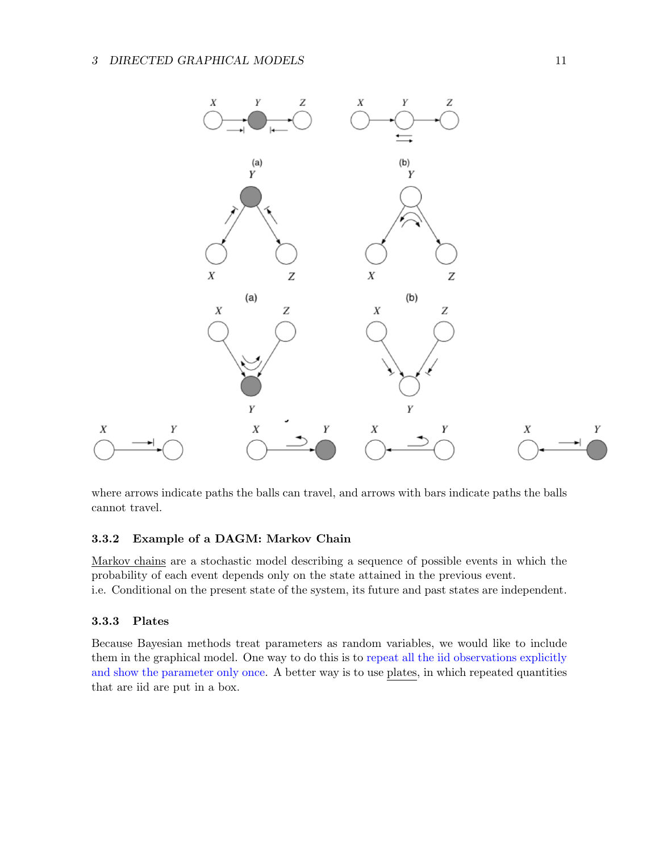![](_page_10_Figure_1.jpeg)

where arrows indicate paths the balls can travel, and arrows with bars indicate paths the balls cannot travel.

# <span id="page-10-0"></span>3.3.2 Example of a DAGM: Markov Chain

Markov chains are a stochastic model describing a sequence of possible events in which the probability of each event depends only on the state attained in the previous event. i.e. Conditional on the present state of the system, its future and past states are independent.

# <span id="page-10-1"></span>3.3.3 Plates

Because Bayesian methods treat parameters as random variables, we would like to include them in the graphical model. One way to do this is to repeat all the iid observations explicitly and show the parameter only once. A better way is to use plates, in which repeated quantities that are iid are put in a box.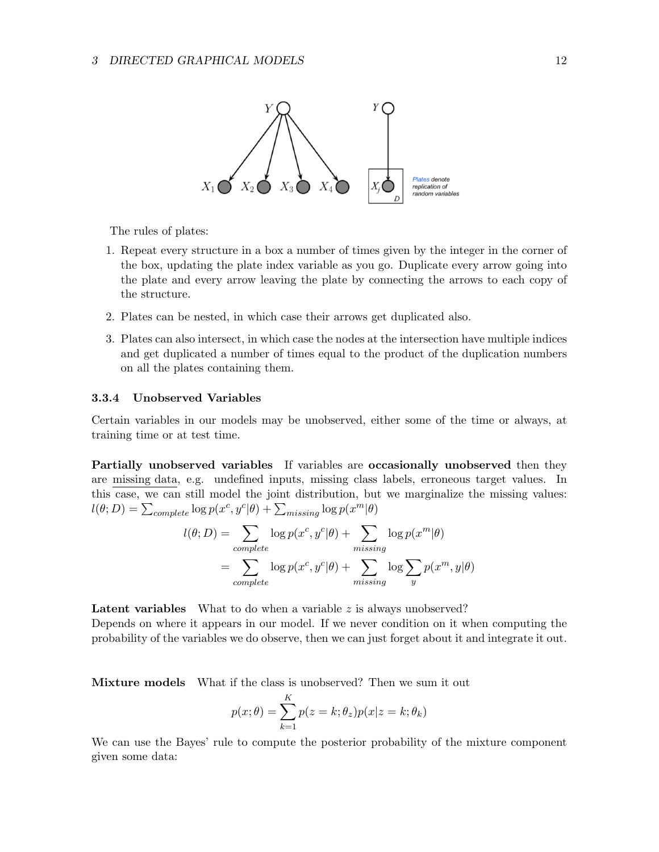![](_page_11_Figure_1.jpeg)

The rules of plates:

- 1. Repeat every structure in a box a number of times given by the integer in the corner of the box, updating the plate index variable as you go. Duplicate every arrow going into the plate and every arrow leaving the plate by connecting the arrows to each copy of the structure.
- 2. Plates can be nested, in which case their arrows get duplicated also.
- 3. Plates can also intersect, in which case the nodes at the intersection have multiple indices and get duplicated a number of times equal to the product of the duplication numbers on all the plates containing them.

### <span id="page-11-0"></span>3.3.4 Unobserved Variables

Certain variables in our models may be unobserved, either some of the time or always, at training time or at test time.

Partially unobserved variables If variables are occasionally unobserved then they are missing data, e.g. undefined inputs, missing class labels, erroneous target values. In this case, we can still model the joint distribution, but we marginalize the missing values:  $l(\theta; D) = \sum_{complete} \log p(x^c, y^c | \theta) + \sum_{missing} \log p(x^m | \theta)$ 

$$
l(\theta; D) = \sum_{complete} \log p(x^c, y^c | \theta) + \sum_{missing} \log p(x^m | \theta)
$$

$$
= \sum_{complete} \log p(x^c, y^c | \theta) + \sum_{missing} \log \sum_{y} p(x^m, y | \theta)
$$

**Latent variables** What to do when a variable  $z$  is always unobserved? Depends on where it appears in our model. If we never condition on it when computing the probability of the variables we do observe, then we can just forget about it and integrate it out.

Mixture models What if the class is unobserved? Then we sum it out

$$
p(x; \theta) = \sum_{k=1}^{K} p(z = k; \theta_z) p(x | z = k; \theta_k)
$$

We can use the Bayes' rule to compute the posterior probability of the mixture component given some data: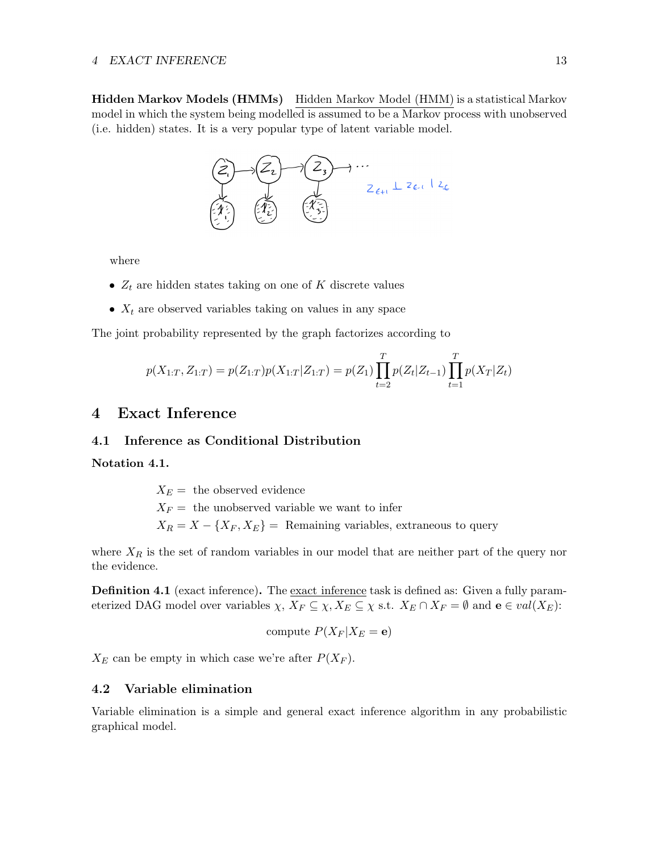### 4 EXACT INFERENCE 13

Hidden Markov Models (HMMs) Hidden Markov Model (HMM) is a statistical Markov model in which the system being modelled is assumed to be a Markov process with unobserved (i.e. hidden) states. It is a very popular type of latent variable model.

![](_page_12_Figure_2.jpeg)

where

- $Z_t$  are hidden states taking on one of K discrete values
- $X_t$  are observed variables taking on values in any space

The joint probability represented by the graph factorizes according to

$$
p(X_{1:T}, Z_{1:T}) = p(Z_{1:T})p(X_{1:T} | Z_{1:T}) = p(Z_1) \prod_{t=2}^{T} p(Z_t | Z_{t-1}) \prod_{t=1}^{T} p(X_T | Z_t)
$$

# <span id="page-12-0"></span>4 Exact Inference

# <span id="page-12-1"></span>4.1 Inference as Conditional Distribution

Notation 4.1.

 $X_E =$  the observed evidence

 $X_F =$  the unobserved variable we want to infer

 $X_R = X - \{X_F, X_E\}$  = Remaining variables, extraneous to query

where  $X_R$  is the set of random variables in our model that are neither part of the query nor the evidence.

**Definition 4.1** (exact inference). The <u>exact inference</u> task is defined as: Given a fully parameterized DAG model over variables  $\chi$ ,  $X_F \subseteq \chi$ ,  $X_E \subseteq \chi$  s.t.  $X_E \cap X_F = \emptyset$  and  $\mathbf{e} \in val(X_E)$ :

compute 
$$
P(X_F|X_E = \mathbf{e})
$$

 $X_E$  can be empty in which case we're after  $P(X_F)$ .

### <span id="page-12-2"></span>4.2 Variable elimination

Variable elimination is a simple and general exact inference algorithm in any probabilistic graphical model.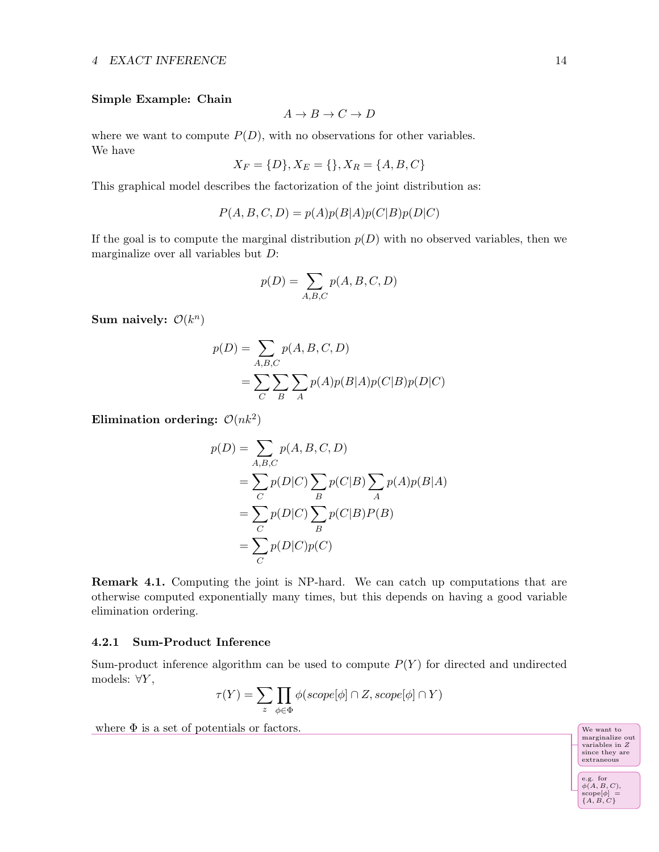# 4 EXACT INFERENCE 14

### Simple Example: Chain

$$
A \to B \to C \to D
$$

where we want to compute  $P(D)$ , with no observations for other variables. We have

$$
X_F = \{D\}, X_E = \{\}, X_R = \{A, B, C\}
$$

This graphical model describes the factorization of the joint distribution as:

 $P(A, B, C, D) = p(A)p(B|A)p(C|B)p(D|C)$ 

If the goal is to compute the marginal distribution  $p(D)$  with no observed variables, then we marginalize over all variables but D:

$$
p(D) = \sum_{A,B,C} p(A,B,C,D)
$$

Sum naively:  $\mathcal{O}(k^n)$ 

$$
p(D) = \sum_{A,B,C} p(A,B,C,D)
$$
  
= 
$$
\sum_{C} \sum_{B} \sum_{A} p(A)p(B|A)p(C|B)p(D|C)
$$

Elimination ordering:  $\mathcal{O}(nk^2)$ 

$$
p(D) = \sum_{A,B,C} p(A,B,C,D)
$$
  
= 
$$
\sum_{C} p(D|C) \sum_{B} p(C|B) \sum_{A} p(A)p(B|A)
$$
  
= 
$$
\sum_{C} p(D|C) \sum_{B} p(C|B)P(B)
$$
  
= 
$$
\sum_{C} p(D|C)p(C)
$$

Remark 4.1. Computing the joint is NP-hard. We can catch up computations that are otherwise computed exponentially many times, but this depends on having a good variable elimination ordering.

### <span id="page-13-0"></span>4.2.1 Sum-Product Inference

Sum-product inference algorithm can be used to compute  $P(Y)$  for directed and undirected models:  $\forall Y,$ 

$$
\tau(Y) = \sum_{z} \prod_{\phi \in \Phi} \phi(scope[\phi] \cap Z, scope[\phi] \cap Y)
$$

where  $\Phi$  is a set of potentials or factors.

![](_page_13_Picture_18.jpeg)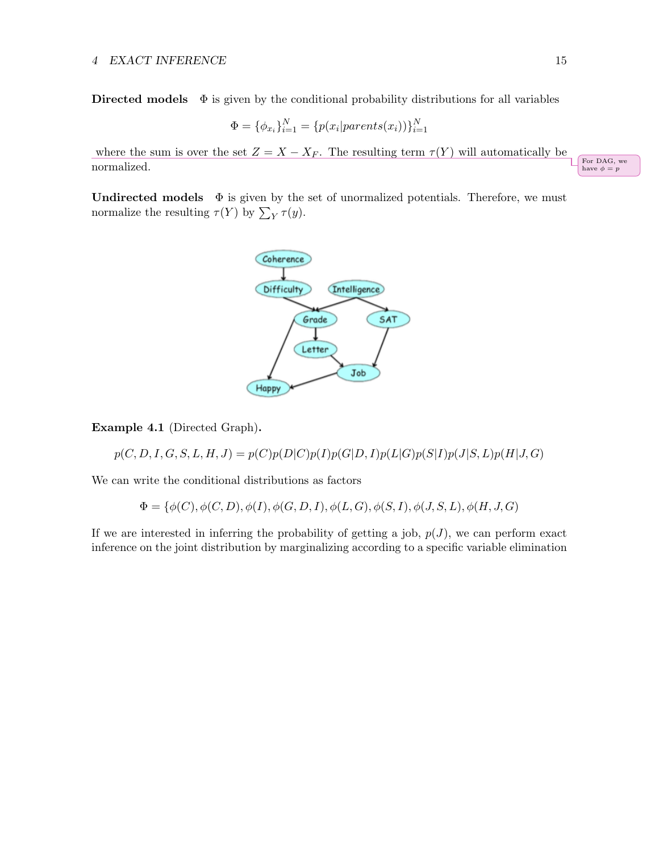Directed models  $\Phi$  is given by the conditional probability distributions for all variables

$$
\Phi = \{\phi_{x_i}\}_{i=1}^N = \{p(x_i | parents(x_i))\}_{i=1}^N
$$

where the sum is over the set  $Z = X - X_F$ . The resulting term  $\tau(Y)$  will automatically be  $\Box$  For DAG, we normalized.

Undirected models  $\Phi$  is given by the set of unormalized potentials. Therefore, we must normalize the resulting  $\tau(Y)$  by  $\sum_{Y} \tau(y)$ .

![](_page_14_Figure_5.jpeg)

Example 4.1 (Directed Graph).

 $p(C, D, I, G, S, L, H, J) = p(C)p(D|C)p(I)p(G|D, I)p(L|G)p(S|I)p(J|S, L)p(H|J, G)$ 

We can write the conditional distributions as factors

 $\Phi = {\phi(C), \phi(C, D), \phi(I), \phi(G, D, I), \phi(L, G), \phi(S, I), \phi(J, S, L), \phi(H, J, G)}$ 

If we are interested in inferring the probability of getting a job,  $p(J)$ , we can perform exact inference on the joint distribution by marginalizing according to a specific variable elimination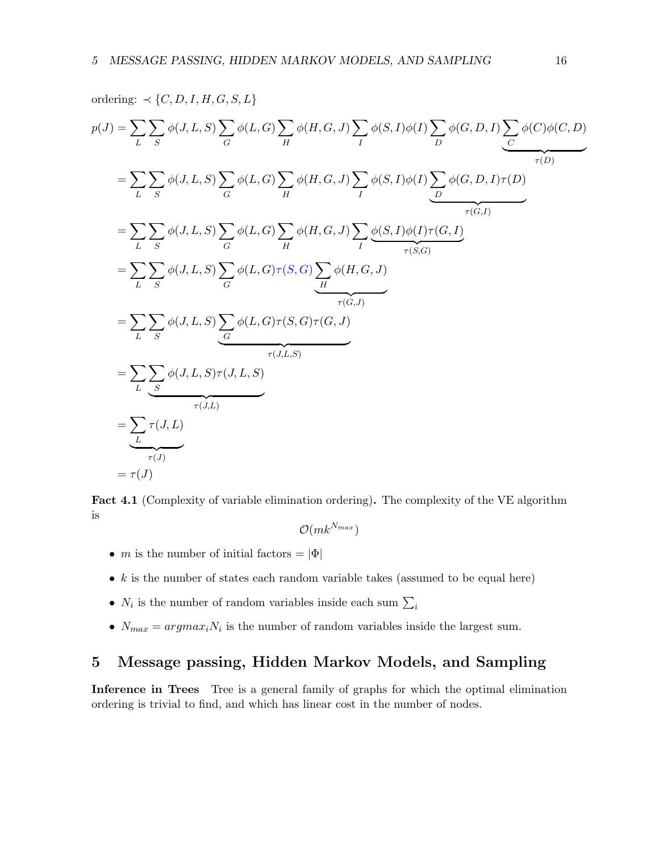ordering: 
$$
\prec \{C, D, I, H, G, S, L\}
$$
  
\n
$$
p(J) = \sum_{L} \sum_{S} \phi(J, L, S) \sum_{G} \phi(L, G) \sum_{H} \phi(H, G, J) \sum_{I} \phi(S, I) \phi(I) \sum_{D} \phi(G, D, I) \underbrace{\sum_{C} \phi(C) \phi(C, D)}_{\tau(D)}
$$
\n
$$
= \sum_{L} \sum_{S} \phi(J, L, S) \sum_{G} \phi(L, G) \sum_{H} \phi(H, G, J) \sum_{I} \phi(S, I) \phi(I) \underbrace{\sum_{D} \phi(G, D, I) \tau(D)}_{\tau(D)}
$$
\n
$$
= \sum_{L} \sum_{S} \phi(J, L, S) \sum_{G} \phi(L, G) \sum_{H} \phi(H, G, J) \sum_{I} \underbrace{\phi(S, I) \phi(I) \tau(G, I)}_{\tau(S, G)}
$$
\n
$$
= \sum_{L} \sum_{S} \phi(J, L, S) \sum_{G} \phi(L, G) \tau(S, G) \underbrace{\sum_{H} \phi(H, G, J)}_{\tau(G, J)}
$$
\n
$$
= \sum_{L} \sum_{S} \phi(J, L, S) \underbrace{\sum_{G} \phi(L, G) \tau(S, G) \tau(G, J)}_{\tau(J, L, S)}
$$
\n
$$
= \sum_{L} \sum_{S} \phi(J, L, S) \tau(J, L, S)
$$
\n
$$
= \sum_{T} \tau(J, L)
$$
\n
$$
= \tau(J)
$$

Fact 4.1 (Complexity of variable elimination ordering). The complexity of the VE algorithm is

 $\mathcal{O}(mk^{N_{max}})$ 

- *m* is the number of initial factors =  $|\Phi|$
- $k$  is the number of states each random variable takes (assumed to be equal here)
- $N_i$  is the number of random variables inside each sum  $\sum_i$
- $N_{max} = argmax_i N_i$  is the number of random variables inside the largest sum.

# <span id="page-15-0"></span>5 Message passing, Hidden Markov Models, and Sampling

Inference in Trees Tree is a general family of graphs for which the optimal elimination ordering is trivial to find, and which has linear cost in the number of nodes.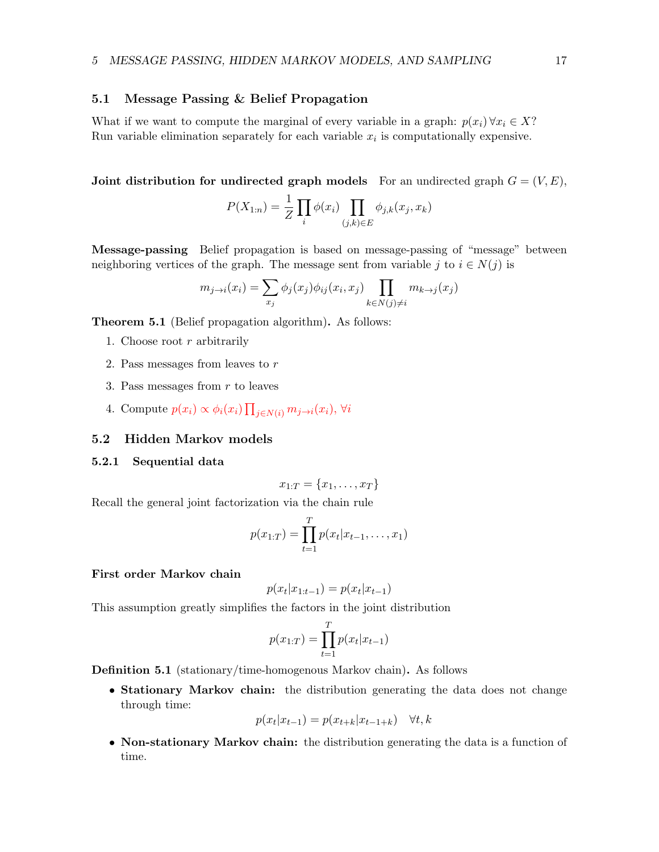### <span id="page-16-0"></span>5.1 Message Passing & Belief Propagation

What if we want to compute the marginal of every variable in a graph:  $p(x_i) \forall x_i \in X$ ? Run variable elimination separately for each variable  $x_i$  is computationally expensive.

**Joint distribution for undirected graph models** For an undirected graph  $G = (V, E)$ ,

$$
P(X_{1:n}) = \frac{1}{Z} \prod_{i} \phi(x_i) \prod_{(j,k) \in E} \phi_{j,k}(x_j, x_k)
$$

Message-passing Belief propagation is based on message-passing of "message" between neighboring vertices of the graph. The message sent from variable j to  $i \in N(j)$  is

$$
m_{j \to i}(x_i) = \sum_{x_j} \phi_j(x_j) \phi_{ij}(x_i, x_j) \prod_{k \in N(j) \neq i} m_{k \to j}(x_j)
$$

Theorem 5.1 (Belief propagation algorithm). As follows:

- 1. Choose root  $r$  arbitrarily
- 2. Pass messages from leaves to r
- 3. Pass messages from r to leaves
- 4. Compute  $p(x_i) \propto \phi_i(x_i) \prod_{j \in N(i)} m_{j \to i}(x_i)$ ,  $\forall i$

# <span id="page-16-1"></span>5.2 Hidden Markov models

### <span id="page-16-2"></span>5.2.1 Sequential data

$$
x_{1:T} = \{x_1, \ldots, x_T\}
$$

Recall the general joint factorization via the chain rule

$$
p(x_{1:T}) = \prod_{t=1}^{T} p(x_t | x_{t-1}, \dots, x_1)
$$

### First order Markov chain

$$
p(x_t|x_{1:t-1}) = p(x_t|x_{t-1})
$$

This assumption greatly simplifies the factors in the joint distribution

$$
p(x_{1:T}) = \prod_{t=1}^{T} p(x_t | x_{t-1})
$$

Definition 5.1 (stationary/time-homogenous Markov chain). As follows

• Stationary Markov chain: the distribution generating the data does not change through time:

$$
p(x_t|x_{t-1}) = p(x_{t+k}|x_{t-1+k}) \quad \forall t, k
$$

• Non-stationary Markov chain: the distribution generating the data is a function of time.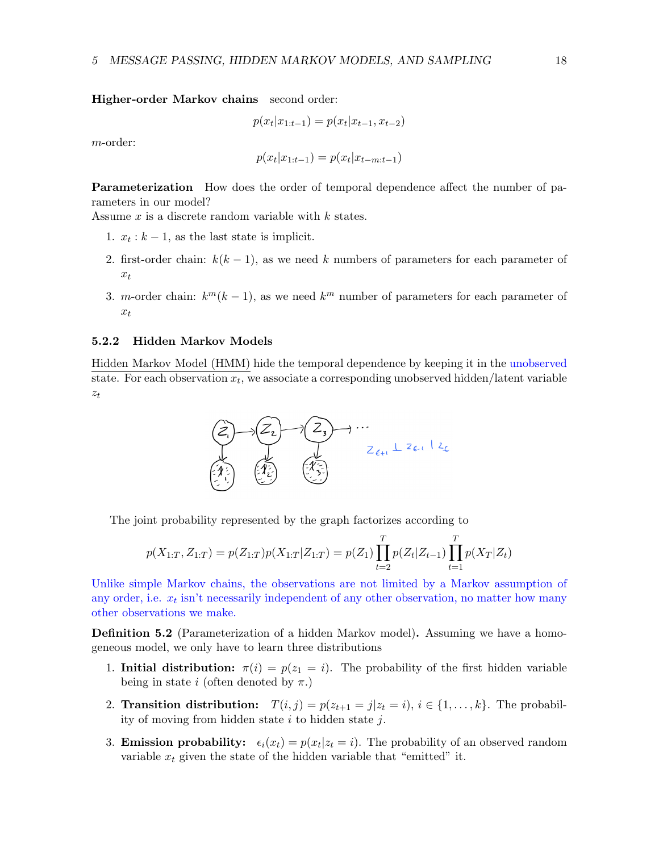Higher-order Markov chains second order:

$$
p(x_t|x_{1:t-1}) = p(x_t|x_{t-1}, x_{t-2})
$$

m-order:

$$
p(x_t|x_{1:t-1}) = p(x_t|x_{t-m:t-1})
$$

Parameterization How does the order of temporal dependence affect the number of parameters in our model?

Assume x is a discrete random variable with  $k$  states.

- 1.  $x_t : k 1$ , as the last state is implicit.
- 2. first-order chain:  $k(k-1)$ , as we need k numbers of parameters for each parameter of  $x_t$
- 3. *m*-order chain:  $k^m(k-1)$ , as we need  $k^m$  number of parameters for each parameter of  $x_t$

#### <span id="page-17-0"></span>5.2.2 Hidden Markov Models

Hidden Markov Model (HMM) hide the temporal dependence by keeping it in the unobserved state. For each observation  $x_t$ , we associate a corresponding unobserved hidden/latent variable  $z_t$ 

![](_page_17_Figure_12.jpeg)

The joint probability represented by the graph factorizes according to

$$
p(X_{1:T}, Z_{1:T}) = p(Z_{1:T})p(X_{1:T} | Z_{1:T}) = p(Z_1) \prod_{t=2}^{T} p(Z_t | Z_{t-1}) \prod_{t=1}^{T} p(X_T | Z_t)
$$

Unlike simple Markov chains, the observations are not limited by a Markov assumption of any order, i.e.  $x_t$  isn't necessarily independent of any other observation, no matter how many other observations we make.

Definition 5.2 (Parameterization of a hidden Markov model). Assuming we have a homogeneous model, we only have to learn three distributions

- 1. Initial distribution:  $\pi(i) = p(z_1 = i)$ . The probability of the first hidden variable being in state i (often denoted by  $\pi$ .)
- 2. Transition distribution:  $T(i, j) = p(z_{t+1} = j | z_t = i), i \in \{1, ..., k\}$ . The probability of moving from hidden state  $i$  to hidden state  $j$ .
- 3. **Emission probability:**  $\epsilon_i(x_t) = p(x_t | z_t = i)$ . The probability of an observed random variable  $x_t$  given the state of the hidden variable that "emitted" it.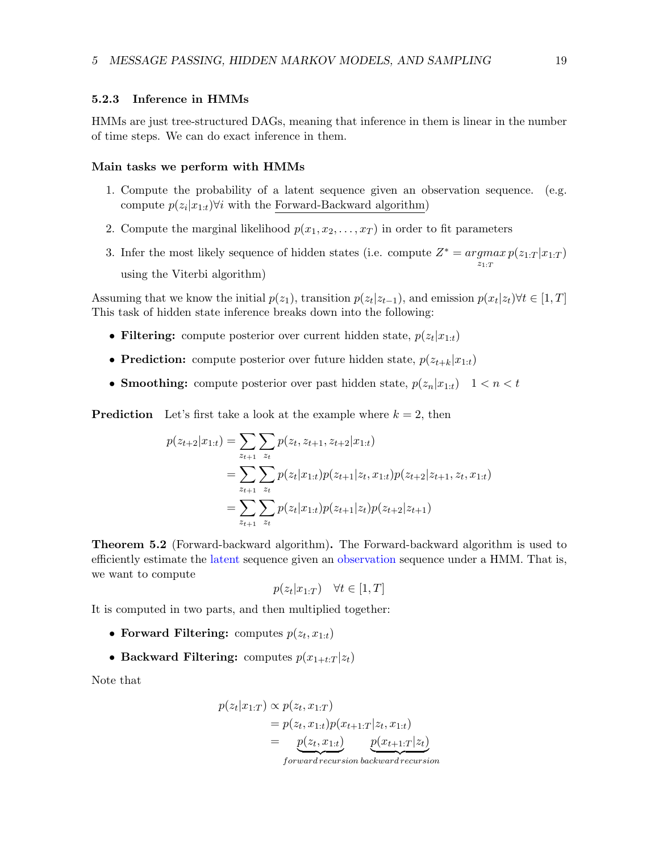### <span id="page-18-0"></span>5.2.3 Inference in HMMs

HMMs are just tree-structured DAGs, meaning that inference in them is linear in the number of time steps. We can do exact inference in them.

#### Main tasks we perform with HMMs

- 1. Compute the probability of a latent sequence given an observation sequence. (e.g. compute  $p(z_i|x_{1:t})\forall i$  with the Forward-Backward algorithm)
- 2. Compute the marginal likelihood  $p(x_1, x_2, \ldots, x_T)$  in order to fit parameters
- 3. Infer the most likely sequence of hidden states (i.e. compute  $Z^* = argmax p(z_{1:T} | x_{1:T})$  $z_{1:T}$ using the Viterbi algorithm)

Assuming that we know the initial  $p(z_1)$ , transition  $p(z_t|z_{t-1})$ , and emission  $p(x_t|z_t) \forall t \in [1, T]$ This task of hidden state inference breaks down into the following:

- Filtering: compute posterior over current hidden state,  $p(z_t|x_{1:t})$
- Prediction: compute posterior over future hidden state,  $p(z_{t+k}|x_{1:t})$
- Smoothing: compute posterior over past hidden state,  $p(z_n|x_{1:t})$   $1 < n < t$

**Prediction** Let's first take a look at the example where  $k = 2$ , then

$$
p(z_{t+2}|x_{1:t}) = \sum_{z_{t+1}} \sum_{z_t} p(z_t, z_{t+1}, z_{t+2}|x_{1:t})
$$
  
= 
$$
\sum_{z_{t+1}} \sum_{z_t} p(z_t|x_{1:t})p(z_{t+1}|z_t, x_{1:t})p(z_{t+2}|z_{t+1}, z_t, x_{1:t})
$$
  
= 
$$
\sum_{z_{t+1}} \sum_{z_t} p(z_t|x_{1:t})p(z_{t+1}|z_t)p(z_{t+2}|z_{t+1})
$$

Theorem 5.2 (Forward-backward algorithm). The Forward-backward algorithm is used to efficiently estimate the latent sequence given an observation sequence under a HMM. That is, we want to compute

$$
p(z_t|x_{1:T}) \quad \forall t \in [1,T]
$$

It is computed in two parts, and then multiplied together:

- Forward Filtering: computes  $p(z_t, x_{1:t})$
- Backward Filtering: computes  $p(x_{1+t:T}|z_t)$

Note that

$$
p(z_t|x_{1:T}) \propto p(z_t, x_{1:T})
$$
  
=  $p(z_t, x_{1:t})p(x_{t+1:T}|z_t, x_{1:t})$   
=  $p(z_t, x_{1:t})$   $p(x_{t+1:T}|z_t)$   
forward recursion backward recursion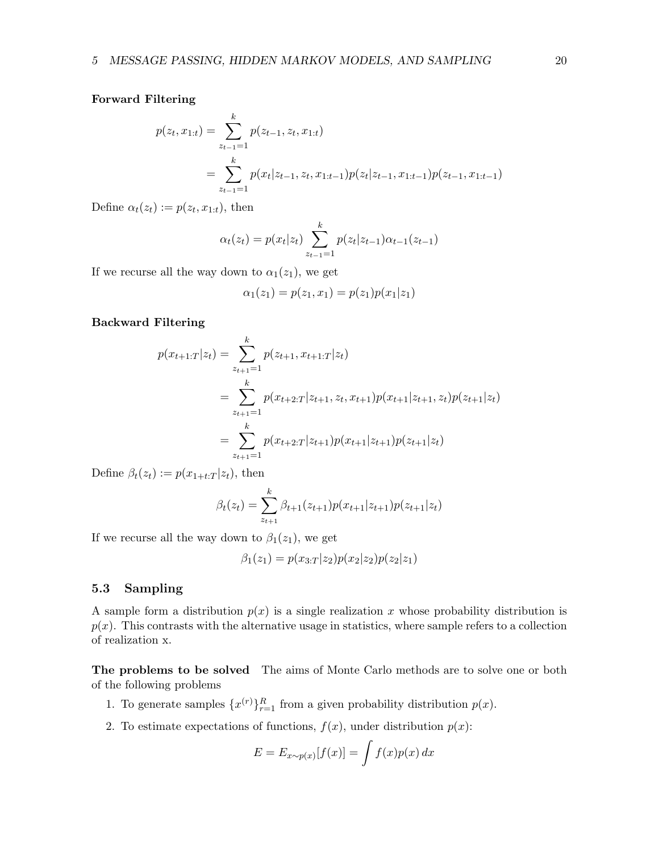### Forward Filtering

$$
p(z_t, x_{1:t}) = \sum_{z_{t-1}=1}^{k} p(z_{t-1}, z_t, x_{1:t})
$$
  
= 
$$
\sum_{z_{t-1}=1}^{k} p(x_t | z_{t-1}, z_t, x_{1:t-1}) p(z_t | z_{t-1}, x_{1:t-1}) p(z_{t-1}, x_{1:t-1})
$$

Define  $\alpha_t(z_t) := p(z_t, x_{1:t}),$  then

$$
\alpha_t(z_t) = p(x_t|z_t) \sum_{z_{t-1}=1}^k p(z_t|z_{t-1}) \alpha_{t-1}(z_{t-1})
$$

If we recurse all the way down to  $\alpha_1(z_1)$ , we get

$$
\alpha_1(z_1) = p(z_1, x_1) = p(z_1)p(x_1|z_1)
$$

### Backward Filtering

$$
p(x_{t+1:T}|z_t) = \sum_{z_{t+1}=1}^k p(z_{t+1}, x_{t+1:T}|z_t)
$$
  
= 
$$
\sum_{z_{t+1}=1}^k p(x_{t+2:T}|z_{t+1}, z_t, x_{t+1}) p(x_{t+1}|z_{t+1}, z_t) p(z_{t+1}|z_t)
$$
  
= 
$$
\sum_{z_{t+1}=1}^k p(x_{t+2:T}|z_{t+1}) p(x_{t+1}|z_{t+1}) p(z_{t+1}|z_t)
$$

Define  $\beta_t(z_t) := p(x_{1+t:T}|z_t)$ , then

$$
\beta_t(z_t) = \sum_{z_{t+1}}^k \beta_{t+1}(z_{t+1}) p(x_{t+1}|z_{t+1}) p(z_{t+1}|z_t)
$$

If we recurse all the way down to  $\beta_1(z_1)$ , we get

$$
\beta_1(z_1) = p(x_{3:T}|z_2)p(x_2|z_2)p(z_2|z_1)
$$

# <span id="page-19-0"></span>5.3 Sampling

A sample form a distribution  $p(x)$  is a single realization x whose probability distribution is  $p(x)$ . This contrasts with the alternative usage in statistics, where sample refers to a collection of realization x.

The problems to be solved The aims of Monte Carlo methods are to solve one or both of the following problems

- 1. To generate samples  $\{x^{(r)}\}_{r=1}^R$  from a given probability distribution  $p(x)$ .
- 2. To estimate expectations of functions,  $f(x)$ , under distribution  $p(x)$ :

$$
E = E_{x \sim p(x)}[f(x)] = \int f(x)p(x) dx
$$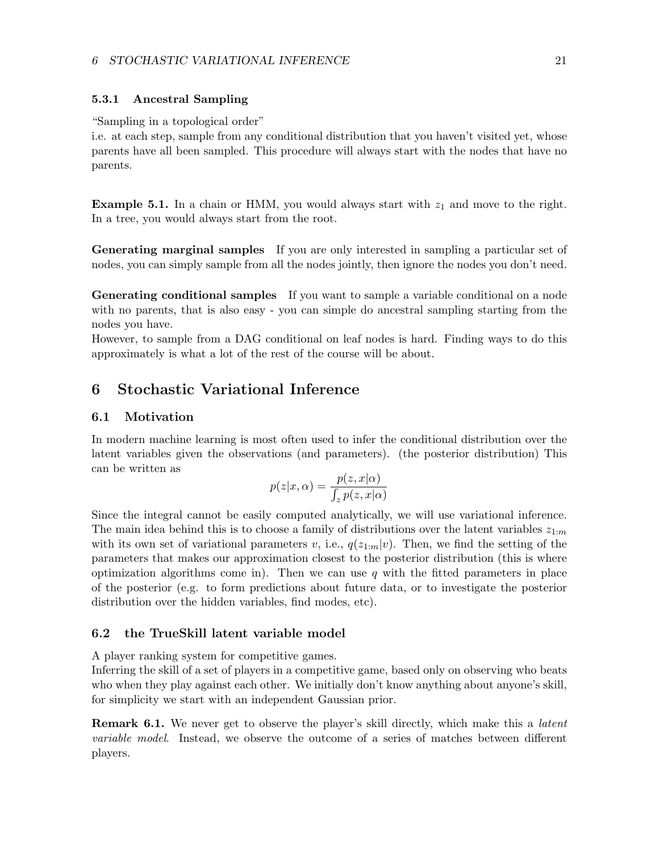# <span id="page-20-0"></span>5.3.1 Ancestral Sampling

#### "Sampling in a topological order"

i.e. at each step, sample from any conditional distribution that you haven't visited yet, whose parents have all been sampled. This procedure will always start with the nodes that have no parents.

**Example 5.1.** In a chain or HMM, you would always start with  $z_1$  and move to the right. In a tree, you would always start from the root.

Generating marginal samples If you are only interested in sampling a particular set of nodes, you can simply sample from all the nodes jointly, then ignore the nodes you don't need.

Generating conditional samples If you want to sample a variable conditional on a node with no parents, that is also easy - you can simple do ancestral sampling starting from the nodes you have.

However, to sample from a DAG conditional on leaf nodes is hard. Finding ways to do this approximately is what a lot of the rest of the course will be about.

# <span id="page-20-1"></span>6 Stochastic Variational Inference

## <span id="page-20-2"></span>6.1 Motivation

In modern machine learning is most often used to infer the conditional distribution over the latent variables given the observations (and parameters). (the posterior distribution) This can be written as

$$
p(z|x,\alpha) = \frac{p(z,x|\alpha)}{\int_z p(z,x|\alpha)}
$$

Since the integral cannot be easily computed analytically, we will use variational inference. The main idea behind this is to choose a family of distributions over the latent variables  $z_{1:m}$ with its own set of variational parameters v, i.e.,  $q(z_{1:m}|v)$ . Then, we find the setting of the parameters that makes our approximation closest to the posterior distribution (this is where optimization algorithms come in). Then we can use q with the fitted parameters in place of the posterior (e.g. to form predictions about future data, or to investigate the posterior distribution over the hidden variables, find modes, etc).

### <span id="page-20-3"></span>6.2 the TrueSkill latent variable model

A player ranking system for competitive games.

Inferring the skill of a set of players in a competitive game, based only on observing who beats who when they play against each other. We initially don't know anything about anyone's skill, for simplicity we start with an independent Gaussian prior.

**Remark 6.1.** We never get to observe the player's skill directly, which make this a *latent* variable model. Instead, we observe the outcome of a series of matches between different players.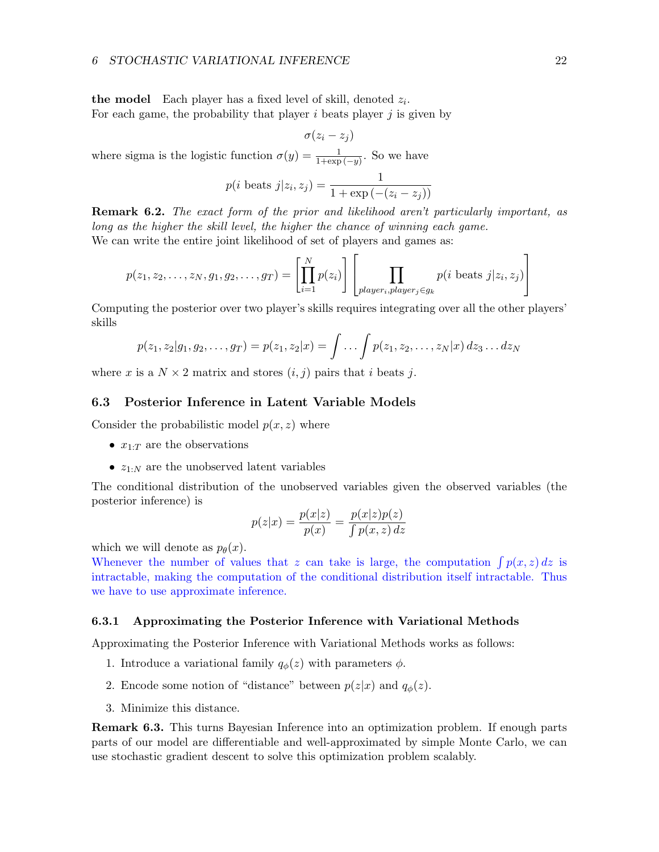the model Each player has a fixed level of skill, denoted  $z_i$ . For each game, the probability that player i beats player  $i$  is given by

$$
\sigma(z_i-z_j)
$$

where sigma is the logistic function  $\sigma(y) = \frac{1}{1 + \exp(-y)}$ . So we have

$$
p(i \text{ beats } j | z_i, z_j) = \frac{1}{1 + \exp(-(z_i - z_j))}
$$

Remark 6.2. The exact form of the prior and likelihood aren't particularly important, as long as the higher the skill level, the higher the chance of winning each game. We can write the entire joint likelihood of set of players and games as:

$$
p(z_1, z_2, \ldots, z_N, g_1, g_2, \ldots, g_T) = \left[ \prod_{i=1}^N p(z_i) \right] \left[ \prod_{player_i, player_j \in g_k} p(i \text{ beats } j | z_i, z_j) \right]
$$

Computing the posterior over two player's skills requires integrating over all the other players' skills

$$
p(z_1, z_2 | g_1, g_2, \dots, g_T) = p(z_1, z_2 | x) = \int \dots \int p(z_1, z_2, \dots, z_N | x) dz_3 \dots dz_N
$$

where x is a  $N \times 2$  matrix and stores  $(i, j)$  pairs that i beats j.

### <span id="page-21-0"></span>6.3 Posterior Inference in Latent Variable Models

Consider the probabilistic model  $p(x, z)$  where

- $x_{1:T}$  are the observations
- $z_{1:N}$  are the unobserved latent variables

The conditional distribution of the unobserved variables given the observed variables (the posterior inference) is

$$
p(z|x) = \frac{p(x|z)}{p(x)} = \frac{p(x|z)p(z)}{\int p(x, z) dz}
$$

which we will denote as  $p_{\theta}(x)$ .

Whenever the number of values that z can take is large, the computation  $\int p(x, z) dz$  is intractable, making the computation of the conditional distribution itself intractable. Thus we have to use approximate inference.

#### <span id="page-21-1"></span>6.3.1 Approximating the Posterior Inference with Variational Methods

Approximating the Posterior Inference with Variational Methods works as follows:

- 1. Introduce a variational family  $q_{\phi}(z)$  with parameters  $\phi$ .
- 2. Encode some notion of "distance" between  $p(z|x)$  and  $q_{\phi}(z)$ .
- 3. Minimize this distance.

Remark 6.3. This turns Bayesian Inference into an optimization problem. If enough parts parts of our model are differentiable and well-approximated by simple Monte Carlo, we can use stochastic gradient descent to solve this optimization problem scalably.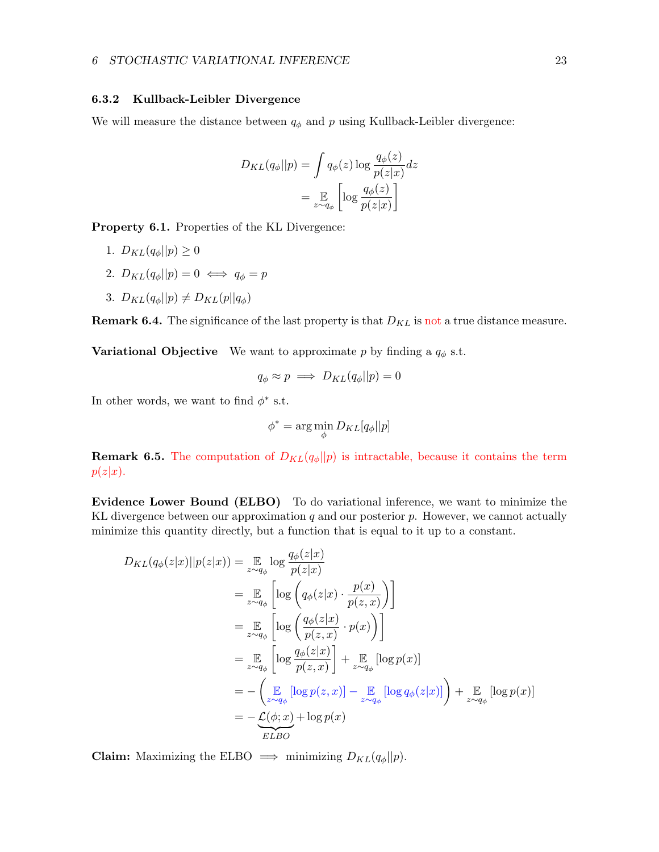### <span id="page-22-0"></span>6.3.2 Kullback-Leibler Divergence

We will measure the distance between  $q_{\phi}$  and p using Kullback-Leibler divergence:

$$
D_{KL}(q_{\phi}||p) = \int q_{\phi}(z) \log \frac{q_{\phi}(z)}{p(z|x)} dz
$$

$$
= \mathop{\mathbb{E}}_{z \sim q_{\phi}} \left[ \log \frac{q_{\phi}(z)}{p(z|x)} \right]
$$

Property 6.1. Properties of the KL Divergence:

- 1.  $D_{KL}(q_{\phi}||p) \geq 0$
- 2.  $D_{KL}(q_{\phi}||p) = 0 \iff q_{\phi} = p$
- 3.  $D_{KL}(q_{\phi}||p) \neq D_{KL}(p||q_{\phi})$

**Remark 6.4.** The significance of the last property is that  $D_{KL}$  is not a true distance measure.

**Variational Objective** We want to approximate p by finding a  $q_{\phi}$  s.t.

$$
q_{\phi} \approx p \implies D_{KL}(q_{\phi}||p) = 0
$$

In other words, we want to find  $\phi^*$  s.t.

$$
\phi^* = \arg\min_{\phi} D_{KL}[q_{\phi} || p]
$$

**Remark 6.5.** The computation of  $D_{KL}(q_{\phi}||p)$  is intractable, because it contains the term  $p(z|x).$ 

Evidence Lower Bound (ELBO) To do variational inference, we want to minimize the KL divergence between our approximation  $q$  and our posterior  $p$ . However, we cannot actually minimize this quantity directly, but a function that is equal to it up to a constant.

$$
D_{KL}(q_{\phi}(z|x)||p(z|x)) = \mathbb{E}_{z \sim q_{\phi}} \log \frac{q_{\phi}(z|x)}{p(z|x)}
$$
  
\n
$$
= \mathbb{E}_{z \sim q_{\phi}} \left[ \log \left( q_{\phi}(z|x) \cdot \frac{p(x)}{p(z,x)} \right) \right]
$$
  
\n
$$
= \mathbb{E}_{z \sim q_{\phi}} \left[ \log \left( \frac{q_{\phi}(z|x)}{p(z,x)} \cdot p(x) \right) \right]
$$
  
\n
$$
= \mathbb{E}_{z \sim q_{\phi}} \left[ \log \frac{q_{\phi}(z|x)}{p(z,x)} \right] + \mathbb{E}_{z \sim q_{\phi}} \left[ \log p(x) \right]
$$
  
\n
$$
= - \left( \mathbb{E}_{z \sim q_{\phi}} \left[ \log p(z,x) \right] - \mathbb{E}_{z \sim q_{\phi}} \left[ \log q_{\phi}(z|x) \right] \right) + \mathbb{E}_{z \sim q_{\phi}} \left[ \log p(x) \right]
$$
  
\n
$$
= - \underbrace{\mathcal{L}(\phi; x)}_{ELBO} + \log p(x)
$$

**Claim:** Maximizing the ELBO  $\implies$  minimizing  $D_{KL}(q_{\phi}||p)$ .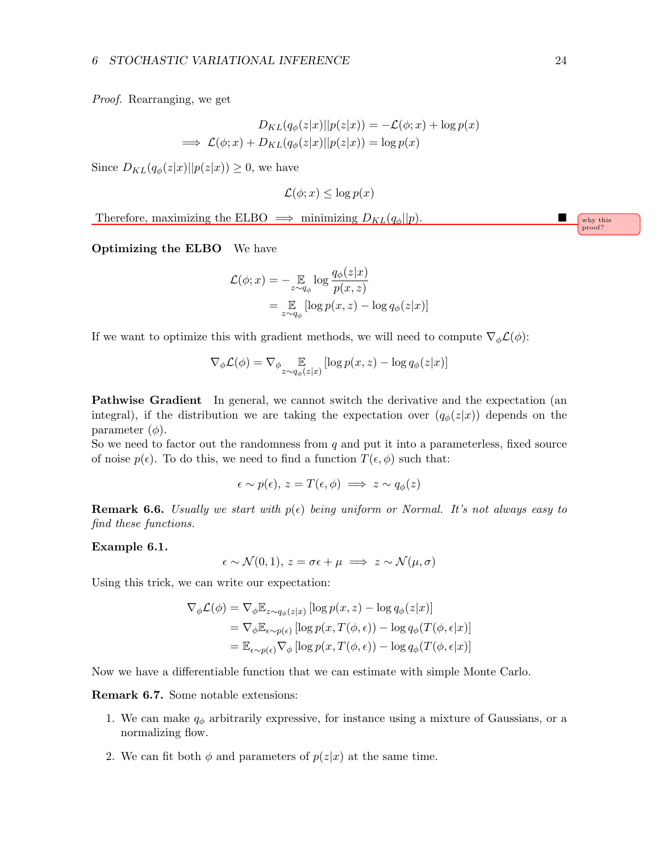Proof. Rearranging, we get

$$
D_{KL}(q_{\phi}(z|x)||p(z|x)) = -\mathcal{L}(\phi; x) + \log p(x)
$$
  
\n
$$
\implies \mathcal{L}(\phi; x) + D_{KL}(q_{\phi}(z|x)||p(z|x)) = \log p(x)
$$

Since  $D_{KL}(q_{\phi}(z|x)||p(z|x)) \geq 0$ , we have

$$
\mathcal{L}(\phi; x) \le \log p(x)
$$

Therefore, maximizing the ELBO  $\implies$  minimizing  $D_{KL}(q_{\phi}||p)$ .

Optimizing the ELBO We have

$$
\mathcal{L}(\phi; x) = -\mathop{\mathbb{E}}_{z \sim q_{\phi}} \log \frac{q_{\phi}(z|x)}{p(x, z)}
$$

$$
= \mathop{\mathbb{E}}_{z \sim q_{\phi}} [\log p(x, z) - \log q_{\phi}(z|x)]
$$

If we want to optimize this with gradient methods, we will need to compute  $\nabla_{\phi} \mathcal{L}(\phi)$ :

$$
\nabla_{\phi} \mathcal{L}(\phi) = \nabla_{\phi} \mathop{\mathbb{E}}_{z \sim q_{\phi}(z|x)} [\log p(x, z) - \log q_{\phi}(z|x)]
$$

Pathwise Gradient In general, we cannot switch the derivative and the expectation (an integral), if the distribution we are taking the expectation over  $(q_{\phi}(z|x))$  depends on the parameter  $(\phi)$ .

So we need to factor out the randomness from  $q$  and put it into a parameterless, fixed source of noise  $p(\epsilon)$ . To do this, we need to find a function  $T(\epsilon, \phi)$  such that:

$$
\epsilon \sim p(\epsilon),\, z=T(\epsilon,\phi)\implies z\sim q_\phi(z)
$$

**Remark 6.6.** Usually we start with  $p(\epsilon)$  being uniform or Normal. It's not always easy to find these functions.

Example 6.1.

$$
\epsilon \sim \mathcal{N}(0, 1), \, z = \sigma \epsilon + \mu \implies z \sim \mathcal{N}(\mu, \sigma)
$$

Using this trick, we can write our expectation:

$$
\nabla_{\phi} \mathcal{L}(\phi) = \nabla_{\phi} \mathbb{E}_{z \sim q_{\phi}(z|x)} \left[ \log p(x, z) - \log q_{\phi}(z|x) \right]
$$
  
=  $\nabla_{\phi} \mathbb{E}_{\epsilon \sim p(\epsilon)} \left[ \log p(x, T(\phi, \epsilon)) - \log q_{\phi}(T(\phi, \epsilon|x)) \right]$   
=  $\mathbb{E}_{\epsilon \sim p(\epsilon)} \nabla_{\phi} \left[ \log p(x, T(\phi, \epsilon)) - \log q_{\phi}(T(\phi, \epsilon|x)) \right]$ 

Now we have a differentiable function that we can estimate with simple Monte Carlo.

Remark 6.7. Some notable extensions:

- 1. We can make  $q_{\phi}$  arbitrarily expressive, for instance using a mixture of Gaussians, or a normalizing flow.
- 2. We can fit both  $\phi$  and parameters of  $p(z|x)$  at the same time.

proof?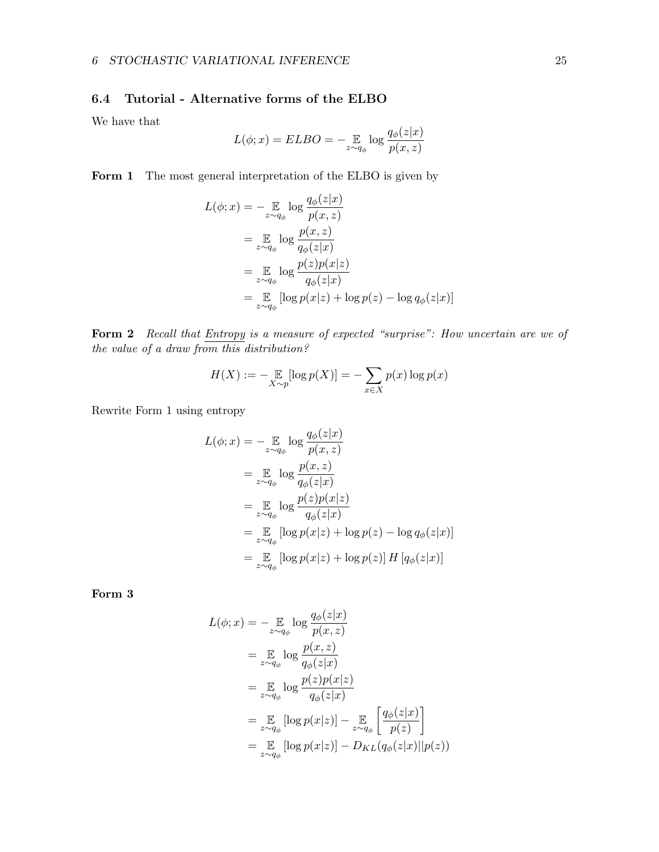# <span id="page-24-0"></span>6.4 Tutorial - Alternative forms of the ELBO

We have that

$$
L(\phi; x) = ELBO = -\underset{z \sim q_{\phi}}{\mathbb{E}} \log \frac{q_{\phi}(z|x)}{p(x, z)}
$$

Form 1 The most general interpretation of the ELBO is given by

$$
L(\phi; x) = -\underset{z \sim q_{\phi}}{\mathbb{E}} \log \frac{q_{\phi}(z|x)}{p(x, z)}
$$
  
= 
$$
\underset{z \sim q_{\phi}}{\mathbb{E}} \log \frac{p(x, z)}{q_{\phi}(z|x)}
$$
  
= 
$$
\underset{z \sim q_{\phi}}{\mathbb{E}} \log \frac{p(z)p(x|z)}{q_{\phi}(z|x)}
$$
  
= 
$$
\underset{z \sim q_{\phi}}{\mathbb{E}} [\log p(x|z) + \log p(z) - \log q_{\phi}(z|x)]
$$

Form 2 Recall that Entropy is a measure of expected "surprise": How uncertain are we of the value of a draw from this distribution?

$$
H(X) := -\underset{X \sim p}{\mathbb{E}} [\log p(X)] = -\sum_{x \in X} p(x) \log p(x)
$$

Rewrite Form 1 using entropy

$$
L(\phi; x) = -\underset{z \sim q_{\phi}}{\mathbb{E}} \log \frac{q_{\phi}(z|x)}{p(x, z)}
$$
  
\n
$$
= \underset{z \sim q_{\phi}}{\mathbb{E}} \log \frac{p(x, z)}{q_{\phi}(z|x)}
$$
  
\n
$$
= \underset{z \sim q_{\phi}}{\mathbb{E}} \log \frac{p(z)p(x|z)}{q_{\phi}(z|x)}
$$
  
\n
$$
= \underset{z \sim q_{\phi}}{\mathbb{E}} [\log p(x|z) + \log p(z) - \log q_{\phi}(z|x)]
$$
  
\n
$$
= \underset{z \sim q_{\phi}}{\mathbb{E}} [\log p(x|z) + \log p(z)] H [q_{\phi}(z|x)]
$$

Form 3

$$
L(\phi; x) = -\underset{z \sim q_{\phi}}{\mathbb{E}} \log \frac{q_{\phi}(z|x)}{p(x, z)}
$$
  
\n
$$
= \underset{z \sim q_{\phi}}{\mathbb{E}} \log \frac{p(x, z)}{q_{\phi}(z|x)}
$$
  
\n
$$
= \underset{z \sim q_{\phi}}{\mathbb{E}} \log \frac{p(z)p(x|z)}{q_{\phi}(z|x)}
$$
  
\n
$$
= \underset{z \sim q_{\phi}}{\mathbb{E}} \left[ \log p(x|z) \right] - \underset{z \sim q_{\phi}}{\mathbb{E}} \left[ \frac{q_{\phi}(z|x)}{p(z)} \right]
$$
  
\n
$$
= \underset{z \sim q_{\phi}}{\mathbb{E}} \left[ \log p(x|z) \right] - D_{KL}(q_{\phi}(z|x)||p(z))
$$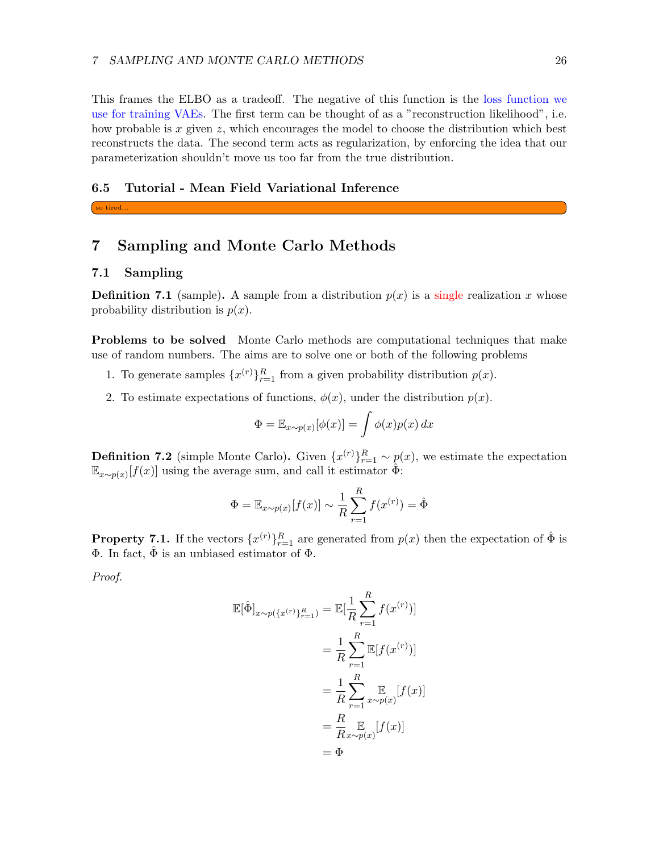This frames the ELBO as a tradeoff. The negative of this function is the loss function we use for training VAEs. The first term can be thought of as a "reconstruction likelihood", i.e. how probable is x given  $z$ , which encourages the model to choose the distribution which best reconstructs the data. The second term acts as regularization, by enforcing the idea that our parameterization shouldn't move us too far from the true distribution.

### <span id="page-25-0"></span>6.5 Tutorial - Mean Field Variational Inference

so tired.

# <span id="page-25-1"></span>7 Sampling and Monte Carlo Methods

# <span id="page-25-2"></span>7.1 Sampling

**Definition 7.1** (sample). A sample from a distribution  $p(x)$  is a single realization x whose probability distribution is  $p(x)$ .

Problems to be solved Monte Carlo methods are computational techniques that make use of random numbers. The aims are to solve one or both of the following problems

- 1. To generate samples  $\{x^{(r)}\}_{r=1}^R$  from a given probability distribution  $p(x)$ .
- 2. To estimate expectations of functions,  $\phi(x)$ , under the distribution  $p(x)$ .

$$
\Phi = \mathbb{E}_{x \sim p(x)}[\phi(x)] = \int \phi(x)p(x) dx
$$

**Definition 7.2** (simple Monte Carlo). Given  $\{x^{(r)}\}_{r=1}^R \sim p(x)$ , we estimate the expectation  $\mathbb{E}_{x \sim p(x)}[f(x)]$  using the average sum, and call it estimator  $\hat{\Phi}$ :

$$
\Phi = \mathbb{E}_{x \sim p(x)}[f(x)] \sim \frac{1}{R} \sum_{r=1}^{R} f(x^{(r)}) = \hat{\Phi}
$$

**Property 7.1.** If the vectors  $\{x^{(r)}\}_{r=1}^R$  are generated from  $p(x)$  then the expectation of  $\hat{\Phi}$  is  $Φ$ . In fact,  $Φ$  is an unbiased estimator of  $Φ$ .

Proof.

$$
\mathbb{E}[\hat{\Phi}]_{x \sim p(\lbrace x^{(r)} \rbrace_{r=1}^R)} = \mathbb{E}[\frac{1}{R} \sum_{r=1}^R f(x^{(r)})]
$$

$$
= \frac{1}{R} \sum_{r=1}^R \mathbb{E}[f(x^{(r)})]
$$

$$
= \frac{1}{R} \sum_{r=1}^R \mathbb{E}[f(x)]
$$

$$
= \frac{R}{R} \mathbb{E}[f(x)]
$$

$$
= \Phi
$$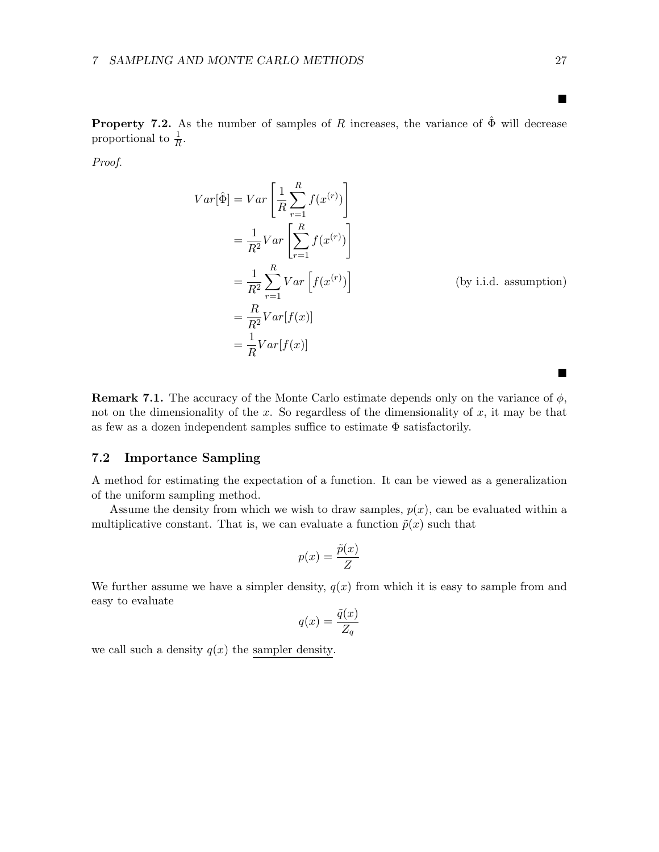$\blacksquare$ 

 $\blacksquare$ 

**Property 7.2.** As the number of samples of R increases, the variance of  $\hat{\Phi}$  will decrease proportional to  $\frac{1}{R}$ .

Proof.

$$
Var[\hat{\Phi}] = Var\left[\frac{1}{R}\sum_{r=1}^{R} f(x^{(r)})\right]
$$
  
=  $\frac{1}{R^2}Var\left[\sum_{r=1}^{R} f(x^{(r)})\right]$   
=  $\frac{1}{R^2}\sum_{r=1}^{R} Var\left[f(x^{(r)})\right]$  (by i.i.d. assumption)  
=  $\frac{R}{R^2}Var[f(x)]$   
=  $\frac{1}{R}Var[f(x)]$ 

**Remark 7.1.** The accuracy of the Monte Carlo estimate depends only on the variance of  $\phi$ , not on the dimensionality of the x. So regardless of the dimensionality of  $x$ , it may be that as few as a dozen independent samples suffice to estimate Φ satisfactorily.

### <span id="page-26-0"></span>7.2 Importance Sampling

A method for estimating the expectation of a function. It can be viewed as a generalization of the uniform sampling method.

Assume the density from which we wish to draw samples,  $p(x)$ , can be evaluated within a multiplicative constant. That is, we can evaluate a function  $\tilde{p}(x)$  such that

$$
p(x) = \frac{\tilde{p}(x)}{Z}
$$

We further assume we have a simpler density,  $q(x)$  from which it is easy to sample from and easy to evaluate

$$
q(x) = \frac{\tilde{q}(x)}{Z_q}
$$

we call such a density  $q(x)$  the sampler density.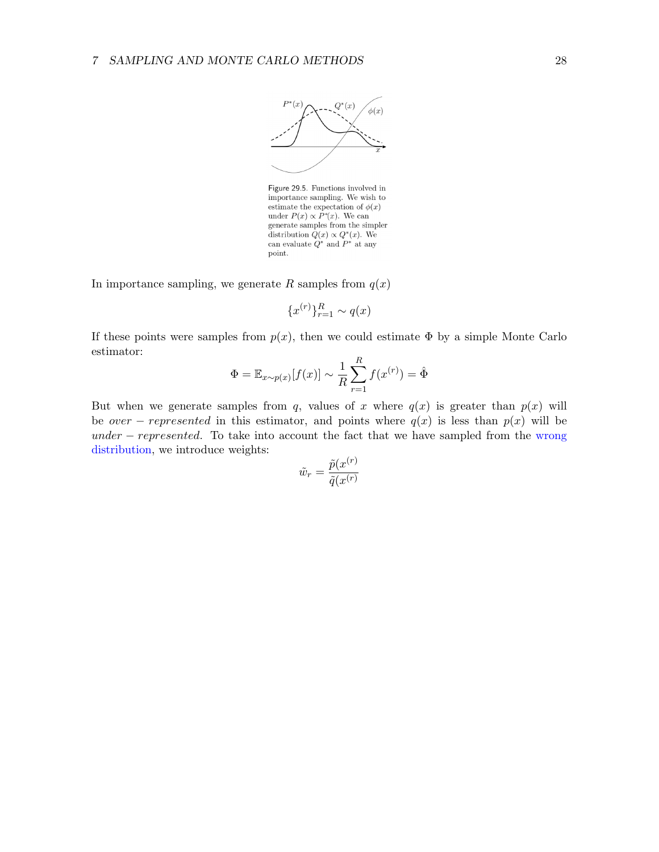![](_page_27_Figure_1.jpeg)

Figure 29.5. Functions involved in importance sampling. We wish to estimate the expectation of  $\phi(x)$ under  $P(x) \propto P^*(x)$ . We can generate samples from the simpler distribution  $Q(x) \propto Q^*(x)$ . We<br>can evaluate  $Q^*$  and  $P^*$  at any point.

In importance sampling, we generate R samples from  $q(x)$ 

$$
\{x^{(r)}\}_{r=1}^R \sim q(x)
$$

If these points were samples from  $p(x)$ , then we could estimate  $\Phi$  by a simple Monte Carlo estimator:

$$
\Phi = \mathbb{E}_{x \sim p(x)}[f(x)] \sim \frac{1}{R} \sum_{r=1}^{R} f(x^{(r)}) = \hat{\Phi}
$$

But when we generate samples from q, values of x where  $q(x)$  is greater than  $p(x)$  will be over – represented in this estimator, and points where  $q(x)$  is less than  $p(x)$  will be  $under-represented$ . To take into account the fact that we have sampled from the wrong distribution, we introduce weights:  $\sqrt{ }$ 

$$
\tilde{w}_r = \frac{\tilde{p}(x^{(r)}}{\tilde{q}(x^{(r)}})
$$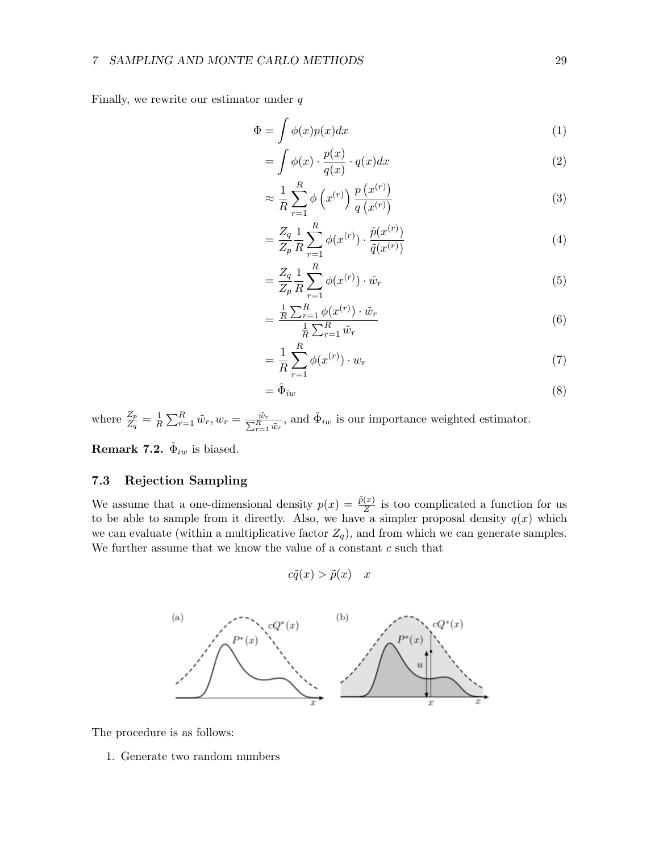# 7 SAMPLING AND MONTE CARLO METHODS 29

Finally, we rewrite our estimator under  $q$ 

$$
\Phi = \int \phi(x) p(x) dx \tag{1}
$$

$$
= \int \phi(x) \cdot \frac{p(x)}{q(x)} \cdot q(x) dx \tag{2}
$$

$$
\approx \frac{1}{R} \sum_{r=1}^{R} \phi\left(x^{(r)}\right) \frac{p\left(x^{(r)}\right)}{q\left(x^{(r)}\right)}\tag{3}
$$

$$
= \frac{Z_q}{Z_p} \frac{1}{R} \sum_{r=1}^{R} \phi(x^{(r)}) \cdot \frac{\tilde{p}(x^{(r)})}{\tilde{q}(x^{(r)})}
$$
(4)

$$
=\frac{Z_q}{Z_p}\frac{1}{R}\sum_{r=1}^R\phi(x^{(r)})\cdot\tilde{w}_r
$$
\n(5)

$$
= \frac{\frac{1}{R}\sum_{r=1}^{R}\phi(x^{(r)}) \cdot \tilde{w}_r}{\frac{1}{R}\sum_{r=1}^{R}\tilde{w}_r}
$$
(6)

$$
=\frac{1}{R}\sum_{r=1}^{R}\phi(x^{(r)})\cdot w_r\tag{7}
$$

$$
=\hat{\Phi}_{iw}\tag{8}
$$

where  $\frac{Z_p}{Z_q} = \frac{1}{R}$  $\frac{1}{R} \sum_{r=1}^{R} \tilde{w}_r, w_r = \frac{\tilde{w}_r}{\sum_{r=1}^{R} \tilde{w}_r}$ , and  $\hat{\Phi}_{iw}$  is our importance weighted estimator.

**Remark 7.2.**  $\hat{\Phi}_{iw}$  is biased.

# <span id="page-28-0"></span>7.3 Rejection Sampling

We assume that a one-dimensional density  $p(x) = \frac{\tilde{p}(x)}{Z}$  is too complicated a function for us to be able to sample from it directly. Also, we have a simpler proposal density  $q(x)$  which we can evaluate (within a multiplicative factor  $Z_q$ ), and from which we can generate samples. We further assume that we know the value of a constant  $c$  such that

$$
c\tilde{q}(x) > \tilde{p}(x) \quad x
$$

![](_page_28_Figure_15.jpeg)

The procedure is as follows:

1. Generate two random numbers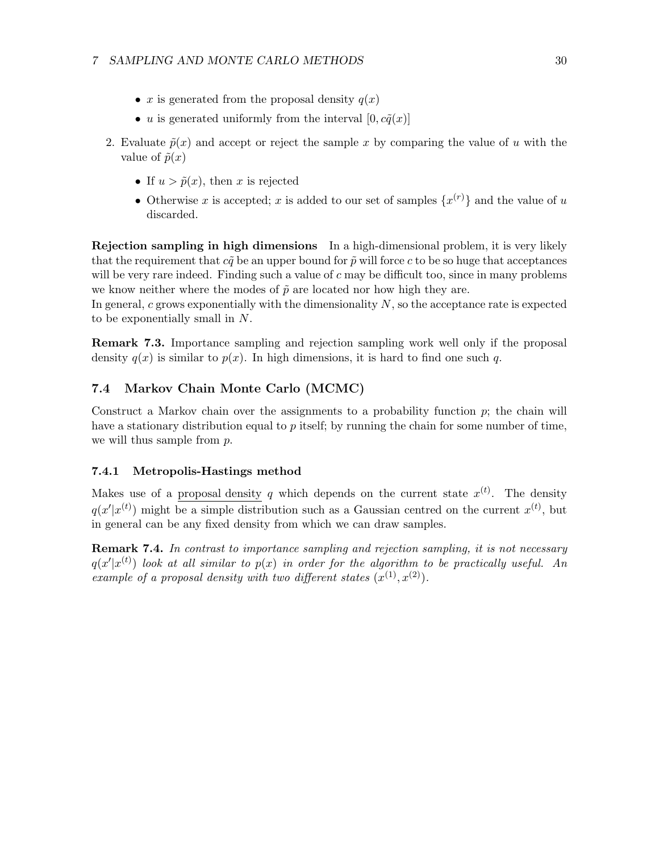- x is generated from the proposal density  $q(x)$
- u is generated uniformly from the interval  $[0, c\tilde{q}(x)]$
- 2. Evaluate  $\tilde{p}(x)$  and accept or reject the sample x by comparing the value of u with the value of  $\tilde{p}(x)$ 
	- If  $u > \tilde{p}(x)$ , then x is rejected
	- Otherwise x is accepted; x is added to our set of samples  $\{x^{(r)}\}$  and the value of u discarded.

Rejection sampling in high dimensions In a high-dimensional problem, it is very likely that the requirement that  $c\tilde{q}$  be an upper bound for  $\tilde{p}$  will force c to be so huge that acceptances will be very rare indeed. Finding such a value of  $c$  may be difficult too, since in many problems we know neither where the modes of  $\tilde{p}$  are located nor how high they are.

In general,  $c$  grows exponentially with the dimensionality  $N$ , so the acceptance rate is expected to be exponentially small in N.

Remark 7.3. Importance sampling and rejection sampling work well only if the proposal density  $q(x)$  is similar to  $p(x)$ . In high dimensions, it is hard to find one such q.

# <span id="page-29-0"></span>7.4 Markov Chain Monte Carlo (MCMC)

Construct a Markov chain over the assignments to a probability function  $p$ ; the chain will have a stationary distribution equal to  $p$  itself; by running the chain for some number of time, we will thus sample from p.

### <span id="page-29-1"></span>7.4.1 Metropolis-Hastings method

Makes use of a proposal density q which depends on the current state  $x^{(t)}$ . The density  $q(x'|x^{(t)})$  might be a simple distribution such as a Gaussian centred on the current  $x^{(t)}$ , but in general can be any fixed density from which we can draw samples.

Remark 7.4. In contrast to importance sampling and rejection sampling, it is not necessary  $q(x'|x^{(t)})$  look at all similar to  $p(x)$  in order for the algorithm to be practically useful. An example of a proposal density with two different states  $(x^{(1)}, x^{(2)})$ .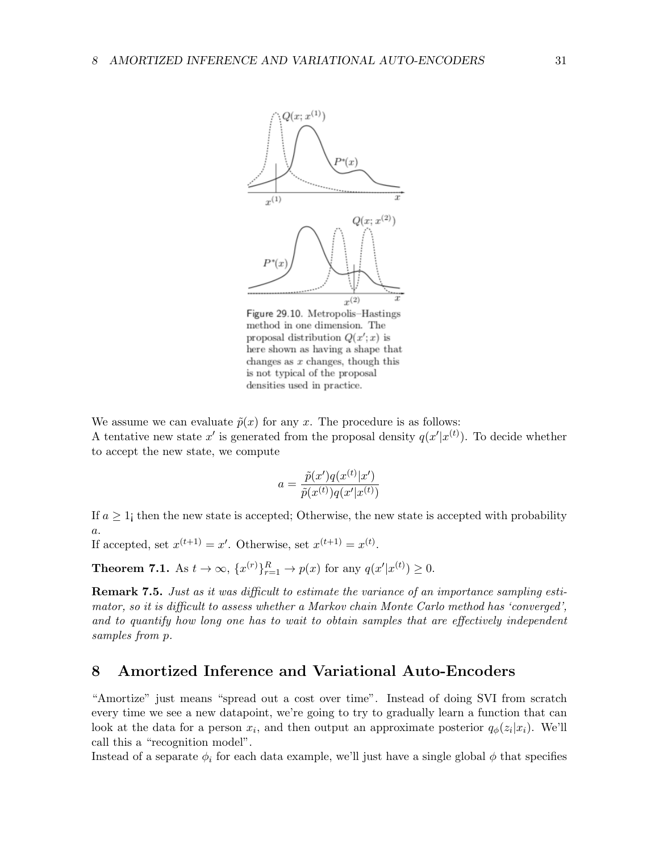![](_page_30_Figure_1.jpeg)

proposal distribution  $Q(x';x)$  is here shown as having a shape that changes as  $x$  changes, though this is not typical of the proposal densities used in practice.

We assume we can evaluate  $\tilde{p}(x)$  for any x. The procedure is as follows: A tentative new state x' is generated from the proposal density  $q(x'|x^{(t)})$ . To decide whether to accept the new state, we compute

$$
a = \frac{\tilde{p}(x')q(x^{(t)}|x')}{\tilde{p}(x^{(t)})q(x'|x^{(t)})}
$$

If  $a \geq 1$ ; then the new state is accepted; Otherwise, the new state is accepted with probability a.

If accepted, set  $x^{(t+1)} = x'$ . Otherwise, set  $x^{(t+1)} = x^{(t)}$ .

**Theorem 7.1.** As  $t \to \infty$ ,  $\{x^{(r)}\}_{r=1}^R \to p(x)$  for any  $q(x'|x^{(t)}) \ge 0$ .

Remark 7.5. Just as it was difficult to estimate the variance of an importance sampling estimator, so it is difficult to assess whether a Markov chain Monte Carlo method has 'converged', and to quantify how long one has to wait to obtain samples that are effectively independent samples from p.

# <span id="page-30-0"></span>8 Amortized Inference and Variational Auto-Encoders

"Amortize" just means "spread out a cost over time". Instead of doing SVI from scratch every time we see a new datapoint, we're going to try to gradually learn a function that can look at the data for a person  $x_i$ , and then output an approximate posterior  $q_{\phi}(z_i|x_i)$ . We'll call this a "recognition model".

Instead of a separate  $\phi_i$  for each data example, we'll just have a single global  $\phi$  that specifies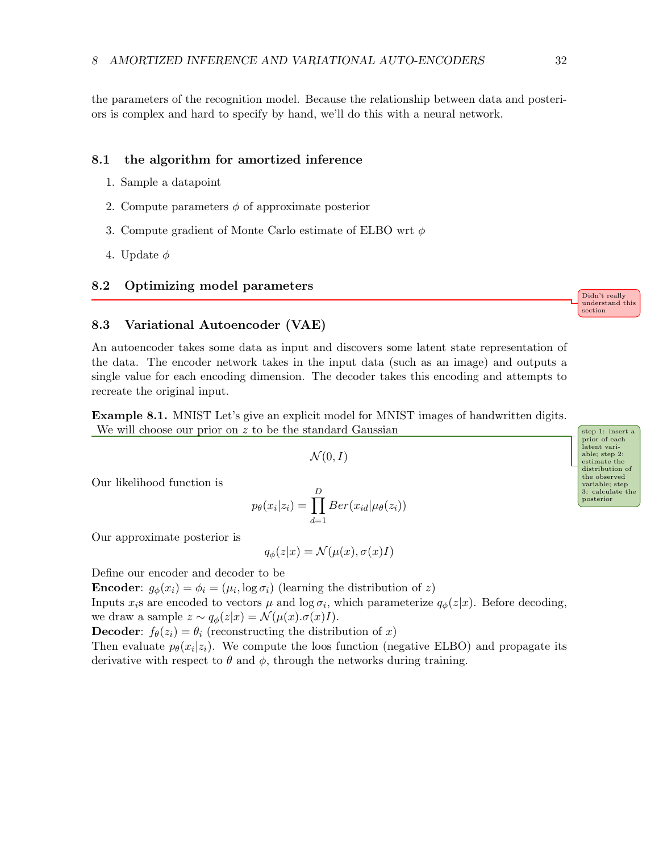the parameters of the recognition model. Because the relationship between data and posteriors is complex and hard to specify by hand, we'll do this with a neural network.

# <span id="page-31-0"></span>8.1 the algorithm for amortized inference

- 1. Sample a datapoint
- 2. Compute parameters  $\phi$  of approximate posterior
- 3. Compute gradient of Monte Carlo estimate of ELBO wrt  $\phi$
- 4. Update  $\phi$

# <span id="page-31-1"></span>8.2 Optimizing model parameters

# <span id="page-31-2"></span>8.3 Variational Autoencoder (VAE)

An autoencoder takes some data as input and discovers some latent state representation of the data. The encoder network takes in the input data (such as an image) and outputs a single value for each encoding dimension. The decoder takes this encoding and attempts to recreate the original input.

Example 8.1. MNIST Let's give an explicit model for MNIST images of handwritten digits. We will choose our prior on z to be the standard Gaussian  $\left\{\frac{\text{step 1: insert a}}{\text{step 2: insert a}}\right\}$ 

 $\mathcal{N}(0,I)$ 

Our likelihood function is

$$
p_{\theta}(x_i|z_i) = \prod_{d=1}^{D} Ber(x_{id}|\mu_{\theta}(z_i))
$$

Our approximate posterior is

$$
q_{\phi}(z|x) = \mathcal{N}(\mu(x), \sigma(x)I)
$$

Define our encoder and decoder to be

**Encoder:**  $g_{\phi}(x_i) = \phi_i = (\mu_i, \log \sigma_i)$  (learning the distribution of z)

Inputs  $x_i$ s are encoded to vectors  $\mu$  and  $\log \sigma_i$ , which parameterize  $q_{\phi}(z|x)$ . Before decoding, we draw a sample  $z \sim q_{\phi}(z|x) = \mathcal{N}(\mu(x) \cdot \sigma(x)I).$ 

**Decoder:**  $f_{\theta}(z_i) = \theta_i$  (reconstructing the distribution of x)

Then evaluate  $p_{\theta}(x_i|z_i)$ . We compute the loos function (negative ELBO) and propagate its derivative with respect to  $\theta$  and  $\phi$ , through the networks during training.

prior of each latent variable; step 2: estimate the distribution of the observed variable; step 3: calculate the posterior

Didn't really understand this section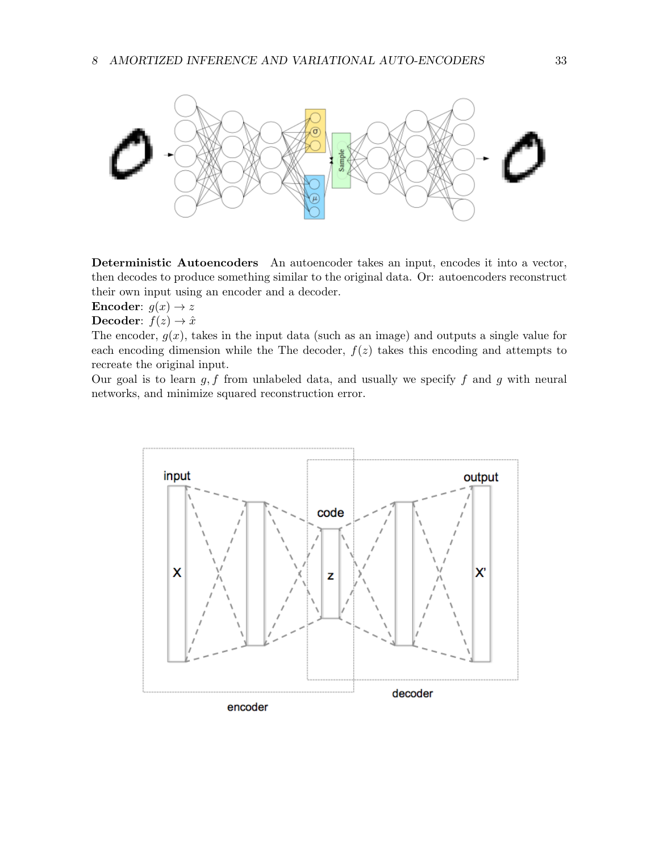![](_page_32_Figure_1.jpeg)

Deterministic Autoencoders An autoencoder takes an input, encodes it into a vector, then decodes to produce something similar to the original data. Or: autoencoders reconstruct their own input using an encoder and a decoder.

# Encoder:  $g(x) \rightarrow z$

**Decoder:**  $f(z) \rightarrow \hat{x}$ 

The encoder,  $g(x)$ , takes in the input data (such as an image) and outputs a single value for each encoding dimension while the The decoder,  $f(z)$  takes this encoding and attempts to recreate the original input.

Our goal is to learn  $g, f$  from unlabeled data, and usually we specify  $f$  and  $g$  with neural networks, and minimize squared reconstruction error.

![](_page_32_Figure_7.jpeg)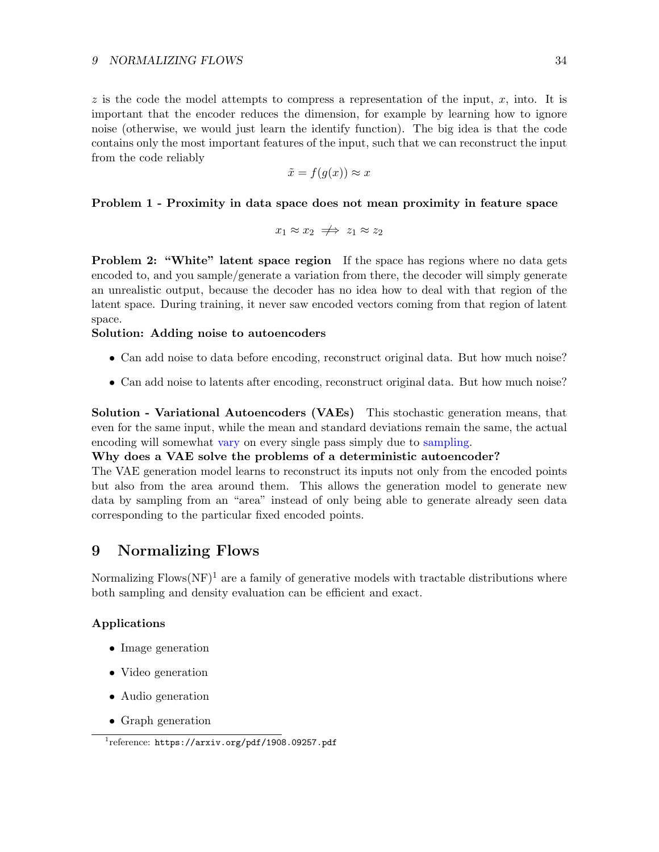$z$  is the code the model attempts to compress a representation of the input,  $x$ , into. It is important that the encoder reduces the dimension, for example by learning how to ignore noise (otherwise, we would just learn the identify function). The big idea is that the code contains only the most important features of the input, such that we can reconstruct the input from the code reliably

$$
\tilde{x} = f(g(x)) \approx x
$$

### Problem 1 - Proximity in data space does not mean proximity in feature space

$$
x_1 \approx x_2 \implies z_1 \approx z_2
$$

Problem 2: "White" latent space region If the space has regions where no data gets encoded to, and you sample/generate a variation from there, the decoder will simply generate an unrealistic output, because the decoder has no idea how to deal with that region of the latent space. During training, it never saw encoded vectors coming from that region of latent space.

# Solution: Adding noise to autoencoders

- Can add noise to data before encoding, reconstruct original data. But how much noise?
- Can add noise to latents after encoding, reconstruct original data. But how much noise?

Solution - Variational Autoencoders (VAEs) This stochastic generation means, that even for the same input, while the mean and standard deviations remain the same, the actual encoding will somewhat vary on every single pass simply due to sampling.

### Why does a VAE solve the problems of a deterministic autoencoder?

The VAE generation model learns to reconstruct its inputs not only from the encoded points but also from the area around them. This allows the generation model to generate new data by sampling from an "area" instead of only being able to generate already seen data corresponding to the particular fixed encoded points.

# <span id="page-33-0"></span>9 Normalizing Flows

Normalizing Flows( $NF$ )<sup>[1](#page-33-1)</sup> are a family of generative models with tractable distributions where both sampling and density evaluation can be efficient and exact.

### Applications

- Image generation
- Video generation
- Audio generation
- Graph generation

<span id="page-33-1"></span><sup>&</sup>lt;sup>1</sup>reference: <https://arxiv.org/pdf/1908.09257.pdf>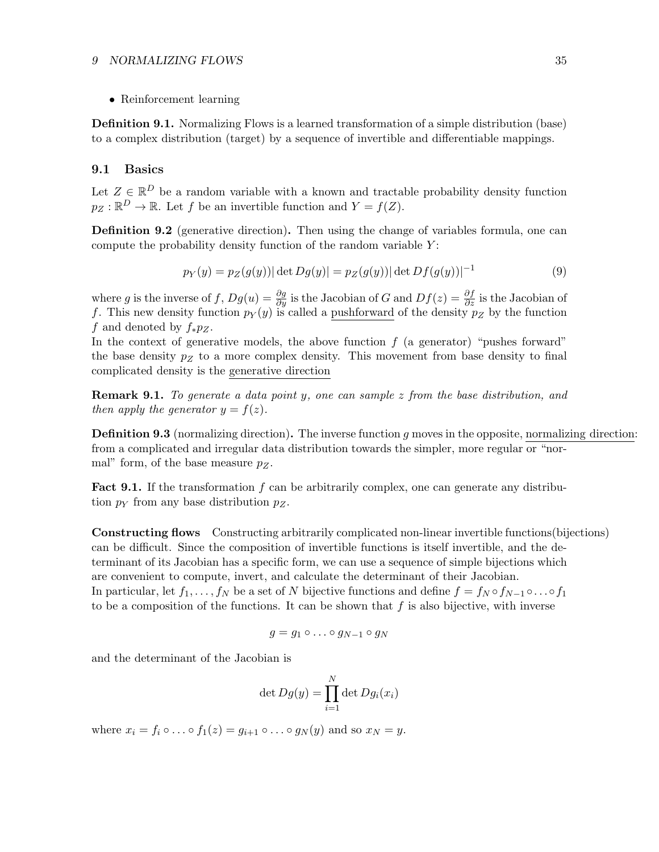• Reinforcement learning

Definition 9.1. Normalizing Flows is a learned transformation of a simple distribution (base) to a complex distribution (target) by a sequence of invertible and differentiable mappings.

### <span id="page-34-0"></span>9.1 Basics

Let  $Z \in \mathbb{R}^D$  be a random variable with a known and tractable probability density function  $p_Z : \mathbb{R}^D \to \mathbb{R}$ . Let f be an invertible function and  $Y = f(Z)$ .

Definition 9.2 (generative direction). Then using the change of variables formula, one can compute the probability density function of the random variable  $Y$ :

<span id="page-34-1"></span>
$$
p_Y(y) = p_Z(g(y)) |\det Dg(y)| = p_Z(g(y)) |\det Df(g(y))|^{-1}
$$
\n(9)

where g is the inverse of f,  $Dg(u) = \frac{\partial g}{\partial y}$  is the Jacobian of G and  $Df(z) = \frac{\partial f}{\partial z}$  is the Jacobian of f. This new density function  $p_Y(y)$  is called a pushforward of the density  $p_Z$  by the function f and denoted by  $f_* p_Z$ .

In the context of generative models, the above function  $f$  (a generator) "pushes forward" the base density  $p<sub>Z</sub>$  to a more complex density. This movement from base density to final complicated density is the generative direction

**Remark 9.1.** To generate a data point y, one can sample  $z$  from the base distribution, and then apply the generator  $y = f(z)$ .

**Definition 9.3** (normalizing direction). The inverse function q moves in the opposite, normalizing direction: from a complicated and irregular data distribution towards the simpler, more regular or "normal" form, of the base measure  $p_Z$ .

**Fact 9.1.** If the transformation  $f$  can be arbitrarily complex, one can generate any distribution  $p<sub>Y</sub>$  from any base distribution  $p<sub>Z</sub>$ .

Constructing flows Constructing arbitrarily complicated non-linear invertible functions(bijections) can be difficult. Since the composition of invertible functions is itself invertible, and the determinant of its Jacobian has a specific form, we can use a sequence of simple bijections which are convenient to compute, invert, and calculate the determinant of their Jacobian. In particular, let  $f_1, \ldots, f_N$  be a set of N bijective functions and define  $f = f_N \circ f_{N-1} \circ \ldots \circ f_1$ to be a composition of the functions. It can be shown that  $f$  is also bijective, with inverse

$$
g=g_1\circ\ldots\circ g_{N-1}\circ g_N
$$

and the determinant of the Jacobian is

$$
\det Dg(y) = \prod_{i=1}^{N} \det Dg_i(x_i)
$$

where  $x_i = f_i \circ \dots \circ f_1(z) = g_{i+1} \circ \dots \circ g_N(y)$  and so  $x_N = y$ .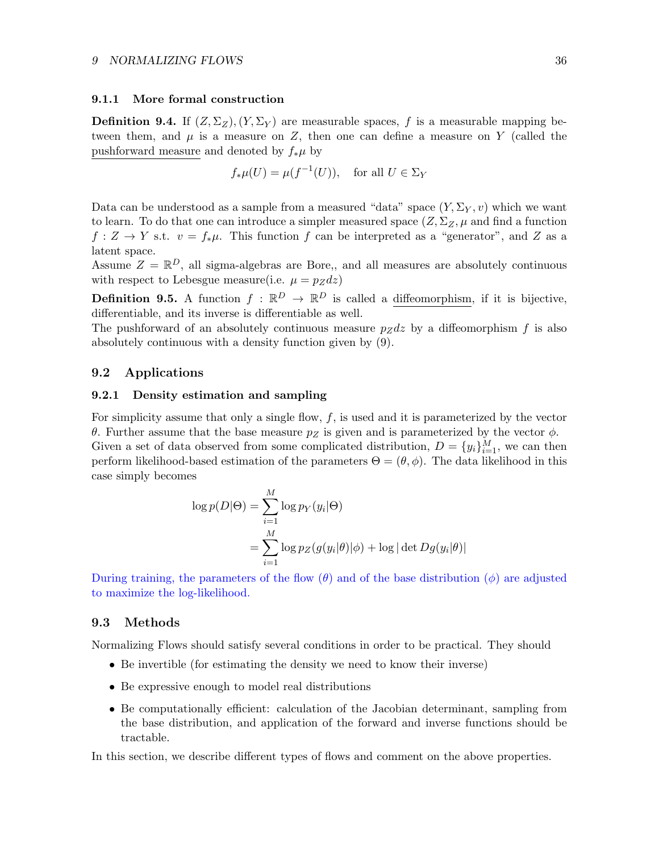### <span id="page-35-0"></span>9.1.1 More formal construction

**Definition 9.4.** If  $(Z, \Sigma_Z)$ ,  $(Y, \Sigma_Y)$  are measurable spaces, f is a measurable mapping between them, and  $\mu$  is a measure on Z, then one can define a measure on Y (called the pushforward measure and denoted by  $f_*\mu$  by

$$
f_*\mu(U) = \mu(f^{-1}(U)),
$$
 for all  $U \in \Sigma_Y$ 

Data can be understood as a sample from a measured "data" space  $(Y, \Sigma_Y, v)$  which we want to learn. To do that one can introduce a simpler measured space  $(Z, \Sigma_Z, \mu$  and find a function  $f: Z \to Y$  s.t.  $v = f_*\mu$ . This function f can be interpreted as a "generator", and Z as a latent space.

Assume  $Z = \mathbb{R}^D$ , all sigma-algebras are Bore,, and all measures are absolutely continuous with respect to Lebesgue measure(i.e.  $\mu = p_Z dz$ )

**Definition 9.5.** A function  $f : \mathbb{R}^D \to \mathbb{R}^D$  is called a diffeomorphism, if it is bijective, differentiable, and its inverse is differentiable as well.

The pushforward of an absolutely continuous measure  $p_Zdz$  by a diffeomorphism f is also absolutely continuous with a density function given by [\(9\)](#page-34-1).

### <span id="page-35-1"></span>9.2 Applications

### <span id="page-35-2"></span>9.2.1 Density estimation and sampling

For simplicity assume that only a single flow,  $f$ , is used and it is parameterized by the vector θ. Further assume that the base measure  $p<sub>Z</sub>$  is given and is parameterized by the vector  $φ$ . Given a set of data observed from some complicated distribution,  $D = \{y_i\}_{i=1}^M$ , we can then perform likelihood-based estimation of the parameters  $\Theta = (\theta, \phi)$ . The data likelihood in this case simply becomes

$$
\log p(D|\Theta) = \sum_{i=1}^{M} \log p_Y(y_i|\Theta)
$$
  
= 
$$
\sum_{i=1}^{M} \log p_Z(g(y_i|\theta)|\phi) + \log|\det Dg(y_i|\theta)|
$$

During training, the parameters of the flow  $(\theta)$  and of the base distribution  $(\phi)$  are adjusted to maximize the log-likelihood.

### <span id="page-35-3"></span>9.3 Methods

Normalizing Flows should satisfy several conditions in order to be practical. They should

- Be invertible (for estimating the density we need to know their inverse)
- Be expressive enough to model real distributions
- Be computationally efficient: calculation of the Jacobian determinant, sampling from the base distribution, and application of the forward and inverse functions should be tractable.

In this section, we describe different types of flows and comment on the above properties.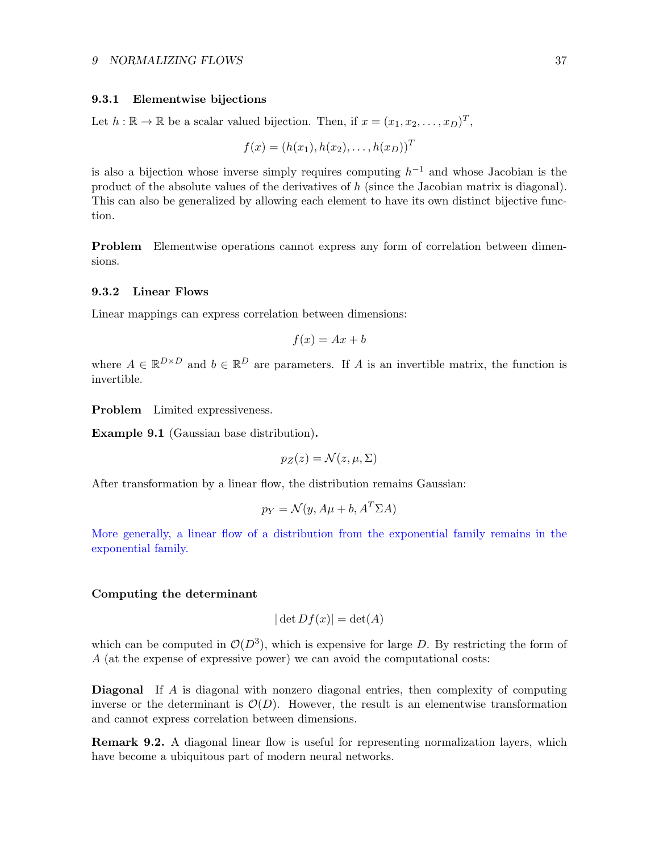### <span id="page-36-0"></span>9.3.1 Elementwise bijections

Let  $h : \mathbb{R} \to \mathbb{R}$  be a scalar valued bijection. Then, if  $x = (x_1, x_2, \dots, x_D)^T$ ,

$$
f(x) = (h(x_1), h(x_2), \dots, h(x_D))^T
$$

is also a bijection whose inverse simply requires computing  $h^{-1}$  and whose Jacobian is the product of the absolute values of the derivatives of  $h$  (since the Jacobian matrix is diagonal). This can also be generalized by allowing each element to have its own distinct bijective function.

Problem Elementwise operations cannot express any form of correlation between dimensions.

#### <span id="page-36-1"></span>9.3.2 Linear Flows

Linear mappings can express correlation between dimensions:

$$
f(x) = Ax + b
$$

where  $A \in \mathbb{R}^{D \times D}$  and  $b \in \mathbb{R}^{D}$  are parameters. If A is an invertible matrix, the function is invertible.

Problem Limited expressiveness.

Example 9.1 (Gaussian base distribution).

$$
p_Z(z) = \mathcal{N}(z, \mu, \Sigma)
$$

After transformation by a linear flow, the distribution remains Gaussian:

$$
p_Y = \mathcal{N}(y, A\mu + b, A^T \Sigma A)
$$

More generally, a linear flow of a distribution from the exponential family remains in the exponential family.

### Computing the determinant

$$
|\det Df(x)| = \det(A)
$$

which can be computed in  $\mathcal{O}(D^3)$ , which is expensive for large D. By restricting the form of A (at the expense of expressive power) we can avoid the computational costs:

Diagonal If A is diagonal with nonzero diagonal entries, then complexity of computing inverse or the determinant is  $\mathcal{O}(D)$ . However, the result is an elementwise transformation and cannot express correlation between dimensions.

Remark 9.2. A diagonal linear flow is useful for representing normalization layers, which have become a ubiquitous part of modern neural networks.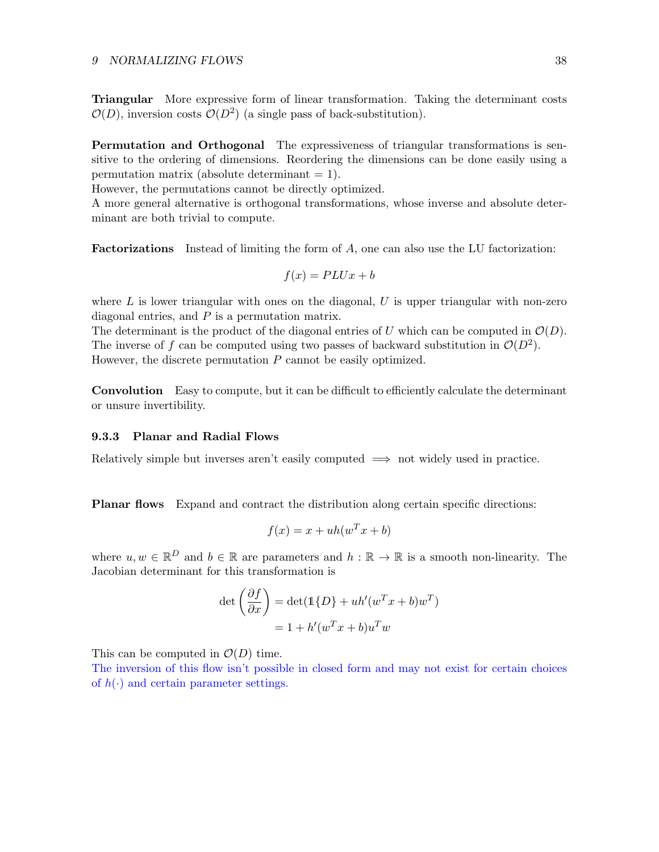## 9 NORMALIZING FLOWS 38

Triangular More expressive form of linear transformation. Taking the determinant costs  $\mathcal{O}(D)$ , inversion costs  $\mathcal{O}(D^2)$  (a single pass of back-substitution).

Permutation and Orthogonal The expressiveness of triangular transformations is sensitive to the ordering of dimensions. Reordering the dimensions can be done easily using a permutation matrix (absolute determinant  $= 1$ ).

However, the permutations cannot be directly optimized.

A more general alternative is orthogonal transformations, whose inverse and absolute determinant are both trivial to compute.

**Factorizations** Instead of limiting the form of  $A$ , one can also use the LU factorization:

$$
f(x) = PLUx + b
$$

where  $L$  is lower triangular with ones on the diagonal,  $U$  is upper triangular with non-zero diagonal entries, and  $P$  is a permutation matrix.

The determinant is the product of the diagonal entries of U which can be computed in  $\mathcal{O}(D)$ . The inverse of f can be computed using two passes of backward substitution in  $\mathcal{O}(D^2)$ . However, the discrete permutation  $P$  cannot be easily optimized.

Convolution Easy to compute, but it can be difficult to efficiently calculate the determinant or unsure invertibility.

#### <span id="page-37-0"></span>9.3.3 Planar and Radial Flows

Relatively simple but inverses aren't easily computed  $\implies$  not widely used in practice.

Planar flows Expand and contract the distribution along certain specific directions:

$$
f(x) = x + uh(w^T x + b)
$$

where  $u, w \in \mathbb{R}^D$  and  $b \in \mathbb{R}$  are parameters and  $h : \mathbb{R} \to \mathbb{R}$  is a smooth non-linearity. The Jacobian determinant for this transformation is

$$
\det\left(\frac{\partial f}{\partial x}\right) = \det(\mathbb{1}\{D\} + uh'(w^T x + b)w^T)
$$

$$
= 1 + h'(w^T x + b)u^T w
$$

This can be computed in  $\mathcal{O}(D)$  time.

The inversion of this flow isn't possible in closed form and may not exist for certain choices of  $h(\cdot)$  and certain parameter settings.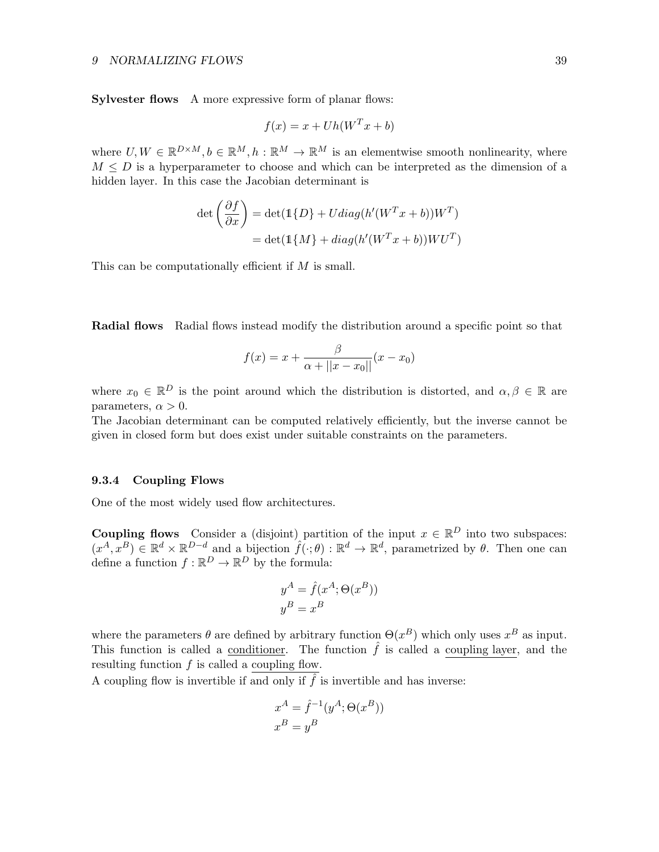Sylvester flows A more expressive form of planar flows:

$$
f(x) = x + Uh(W^T x + b)
$$

where  $U, W \in \mathbb{R}^{D \times M}, b \in \mathbb{R}^{M}, h : \mathbb{R}^{M} \to \mathbb{R}^{M}$  is an elementwise smooth nonlinearity, where  $M \leq D$  is a hyperparameter to choose and which can be interpreted as the dimension of a hidden layer. In this case the Jacobian determinant is

$$
\det\left(\frac{\partial f}{\partial x}\right) = \det(\mathbb{1}\{D\} + Udiag(h'(W^T x + b))W^T)
$$

$$
= \det(\mathbb{1}\{M\} + diag(h'(W^T x + b))WU^T)
$$

This can be computationally efficient if M is small.

Radial flows Radial flows instead modify the distribution around a specific point so that

$$
f(x) = x + \frac{\beta}{\alpha + ||x - x_0||}(x - x_0)
$$

where  $x_0 \in \mathbb{R}^D$  is the point around which the distribution is distorted, and  $\alpha, \beta \in \mathbb{R}$  are parameters,  $\alpha > 0$ .

The Jacobian determinant can be computed relatively efficiently, but the inverse cannot be given in closed form but does exist under suitable constraints on the parameters.

### <span id="page-38-0"></span>9.3.4 Coupling Flows

One of the most widely used flow architectures.

**Coupling flows** Consider a (disjoint) partition of the input  $x \in \mathbb{R}^D$  into two subspaces:  $(x^A, x^B) \in \mathbb{R}^d \times \mathbb{R}^{D-d}$  and a bijection  $\hat{f}(\cdot; \theta) : \mathbb{R}^d \to \mathbb{R}^d$ , parametrized by  $\theta$ . Then one can define a function  $f : \mathbb{R}^D \to \mathbb{R}^D$  by the formula:

$$
y^A = \hat{f}(x^A; \Theta(x^B))
$$
  

$$
y^B = x^B
$$

where the parameters  $\theta$  are defined by arbitrary function  $\Theta(x^B)$  which only uses  $x^B$  as input. This function is called a <u>conditioner</u>. The function  $\hat{f}$  is called a coupling layer, and the resulting function  $f$  is called a coupling flow.

A coupling flow is invertible if and only if  $\hat{f}$  is invertible and has inverse:

$$
x^{A} = \hat{f}^{-1}(y^{A}; \Theta(x^{B}))
$$

$$
x^{B} = y^{B}
$$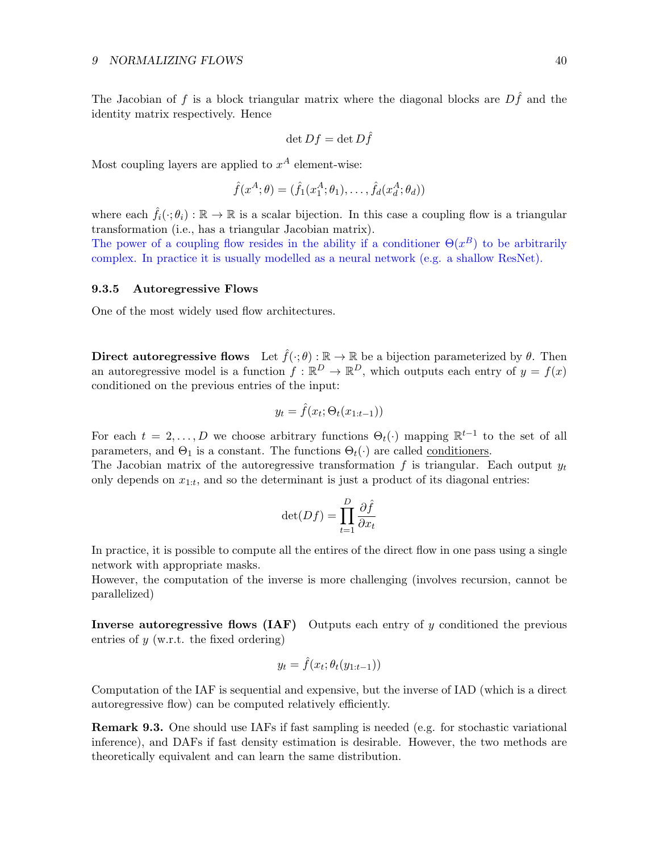The Jacobian of f is a block triangular matrix where the diagonal blocks are  $D\hat{f}$  and the identity matrix respectively. Hence

$$
\det Df = \det D\hat{f}
$$

Most coupling layers are applied to  $x^A$  element-wise:

$$
\hat{f}(x^A; \theta) = (\hat{f}_1(x_1^A; \theta_1), \dots, \hat{f}_d(x_d^A; \theta_d))
$$

where each  $\hat{f}_i(\cdot;\theta_i): \mathbb{R} \to \mathbb{R}$  is a scalar bijection. In this case a coupling flow is a triangular transformation (i.e., has a triangular Jacobian matrix).

The power of a coupling flow resides in the ability if a conditioner  $\Theta(x^B)$  to be arbitrarily complex. In practice it is usually modelled as a neural network (e.g. a shallow ResNet).

#### <span id="page-39-0"></span>9.3.5 Autoregressive Flows

One of the most widely used flow architectures.

Direct autoregressive flows Let  $\hat{f}(\cdot;\theta): \mathbb{R} \to \mathbb{R}$  be a bijection parameterized by  $\theta$ . Then an autoregressive model is a function  $f : \mathbb{R}^D \to \mathbb{R}^D$ , which outputs each entry of  $y = f(x)$ conditioned on the previous entries of the input:

$$
y_t = \hat{f}(x_t; \Theta_t(x_{1:t-1}))
$$

For each  $t = 2, ..., D$  we choose arbitrary functions  $\Theta_t(\cdot)$  mapping  $\mathbb{R}^{t-1}$  to the set of all parameters, and  $\Theta_1$  is a constant. The functions  $\Theta_t(\cdot)$  are called conditioners.

The Jacobian matrix of the autoregressive transformation  $f$  is triangular. Each output  $y_t$ only depends on  $x_{1:t}$ , and so the determinant is just a product of its diagonal entries:

$$
\det(Df) = \prod_{t=1}^{D} \frac{\partial \hat{f}}{\partial x_t}
$$

In practice, it is possible to compute all the entires of the direct flow in one pass using a single network with appropriate masks.

However, the computation of the inverse is more challenging (involves recursion, cannot be parallelized)

**Inverse autoregressive flows (IAF)** Outputs each entry of  $\gamma$  conditioned the previous entries of  $y$  (w.r.t. the fixed ordering)

$$
y_t = \hat{f}(x_t; \theta_t(y_{1:t-1}))
$$

Computation of the IAF is sequential and expensive, but the inverse of IAD (which is a direct autoregressive flow) can be computed relatively efficiently.

Remark 9.3. One should use IAFs if fast sampling is needed (e.g. for stochastic variational inference), and DAFs if fast density estimation is desirable. However, the two methods are theoretically equivalent and can learn the same distribution.